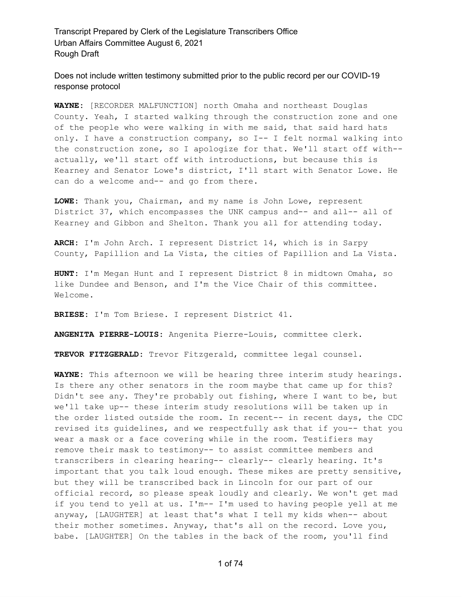Does not include written testimony submitted prior to the public record per our COVID-19 response protocol

**WAYNE:** [RECORDER MALFUNCTION] north Omaha and northeast Douglas County. Yeah, I started walking through the construction zone and one of the people who were walking in with me said, that said hard hats only. I have a construction company, so I-- I felt normal walking into the construction zone, so I apologize for that. We'll start off with- actually, we'll start off with introductions, but because this is Kearney and Senator Lowe's district, I'll start with Senator Lowe. He can do a welcome and-- and go from there.

**LOWE:** Thank you, Chairman, and my name is John Lowe, represent District 37, which encompasses the UNK campus and-- and all-- all of Kearney and Gibbon and Shelton. Thank you all for attending today.

**ARCH:** I'm John Arch. I represent District 14, which is in Sarpy County, Papillion and La Vista, the cities of Papillion and La Vista.

**HUNT:** I'm Megan Hunt and I represent District 8 in midtown Omaha, so like Dundee and Benson, and I'm the Vice Chair of this committee. Welcome.

**BRIESE:** I'm Tom Briese. I represent District 41.

**ANGENITA PIERRE-LOUIS:** Angenita Pierre-Louis, committee clerk.

**TREVOR FITZGERALD:** Trevor Fitzgerald, committee legal counsel.

**WAYNE:** This afternoon we will be hearing three interim study hearings. Is there any other senators in the room maybe that came up for this? Didn't see any. They're probably out fishing, where I want to be, but we'll take up-- these interim study resolutions will be taken up in the order listed outside the room. In recent-- in recent days, the CDC revised its guidelines, and we respectfully ask that if you-- that you wear a mask or a face covering while in the room. Testifiers may remove their mask to testimony-- to assist committee members and transcribers in clearing hearing-- clearly-- clearly hearing. It's important that you talk loud enough. These mikes are pretty sensitive, but they will be transcribed back in Lincoln for our part of our official record, so please speak loudly and clearly. We won't get mad if you tend to yell at us. I'm-- I'm used to having people yell at me anyway, [LAUGHTER] at least that's what I tell my kids when-- about their mother sometimes. Anyway, that's all on the record. Love you, babe. [LAUGHTER] On the tables in the back of the room, you'll find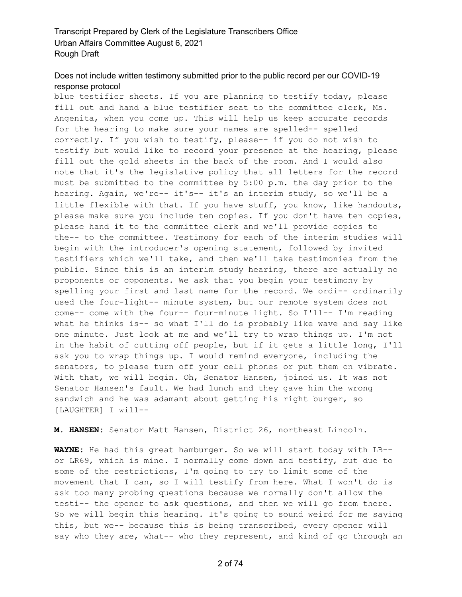# Does not include written testimony submitted prior to the public record per our COVID-19 response protocol

blue testifier sheets. If you are planning to testify today, please fill out and hand a blue testifier seat to the committee clerk, Ms. Angenita, when you come up. This will help us keep accurate records for the hearing to make sure your names are spelled-- spelled correctly. If you wish to testify, please-- if you do not wish to testify but would like to record your presence at the hearing, please fill out the gold sheets in the back of the room. And I would also note that it's the legislative policy that all letters for the record must be submitted to the committee by 5:00 p.m. the day prior to the hearing. Again, we're-- it's-- it's an interim study, so we'll be a little flexible with that. If you have stuff, you know, like handouts, please make sure you include ten copies. If you don't have ten copies, please hand it to the committee clerk and we'll provide copies to the-- to the committee. Testimony for each of the interim studies will begin with the introducer's opening statement, followed by invited testifiers which we'll take, and then we'll take testimonies from the public. Since this is an interim study hearing, there are actually no proponents or opponents. We ask that you begin your testimony by spelling your first and last name for the record. We ordi-- ordinarily used the four-light-- minute system, but our remote system does not come-- come with the four-- four-minute light. So I'll-- I'm reading what he thinks is-- so what I'll do is probably like wave and say like one minute. Just look at me and we'll try to wrap things up. I'm not in the habit of cutting off people, but if it gets a little long, I'll ask you to wrap things up. I would remind everyone, including the senators, to please turn off your cell phones or put them on vibrate. With that, we will begin. Oh, Senator Hansen, joined us. It was not Senator Hansen's fault. We had lunch and they gave him the wrong sandwich and he was adamant about getting his right burger, so [LAUGHTER] I will--

**M. HANSEN:** Senator Matt Hansen, District 26, northeast Lincoln.

**WAYNE:** He had this great hamburger. So we will start today with LB- or LR69, which is mine. I normally come down and testify, but due to some of the restrictions, I'm going to try to limit some of the movement that I can, so I will testify from here. What I won't do is ask too many probing questions because we normally don't allow the testi-- the opener to ask questions, and then we will go from there. So we will begin this hearing. It's going to sound weird for me saying this, but we-- because this is being transcribed, every opener will say who they are, what-- who they represent, and kind of go through an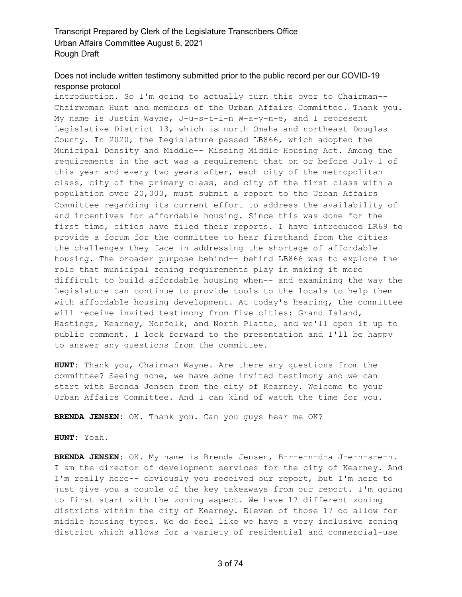# Does not include written testimony submitted prior to the public record per our COVID-19 response protocol

introduction. So I'm going to actually turn this over to Chairman-- Chairwoman Hunt and members of the Urban Affairs Committee. Thank you. My name is Justin Wayne, J-u-s-t-i-n W-a-y-n-e, and I represent Legislative District 13, which is north Omaha and northeast Douglas County. In 2020, the Legislature passed LB866, which adopted the Municipal Density and Middle-- Missing Middle Housing Act. Among the requirements in the act was a requirement that on or before July 1 of this year and every two years after, each city of the metropolitan class, city of the primary class, and city of the first class with a population over 20,000, must submit a report to the Urban Affairs Committee regarding its current effort to address the availability of and incentives for affordable housing. Since this was done for the first time, cities have filed their reports. I have introduced LR69 to provide a forum for the committee to hear firsthand from the cities the challenges they face in addressing the shortage of affordable housing. The broader purpose behind-- behind LB866 was to explore the role that municipal zoning requirements play in making it more difficult to build affordable housing when-- and examining the way the Legislature can continue to provide tools to the locals to help them with affordable housing development. At today's hearing, the committee will receive invited testimony from five cities: Grand Island, Hastings, Kearney, Norfolk, and North Platte, and we'll open it up to public comment. I look forward to the presentation and I'll be happy to answer any questions from the committee.

**HUNT:** Thank you, Chairman Wayne. Are there any questions from the committee? Seeing none, we have some invited testimony and we can start with Brenda Jensen from the city of Kearney. Welcome to your Urban Affairs Committee. And I can kind of watch the time for you.

**BRENDA JENSEN:** OK. Thank you. Can you guys hear me OK?

#### **HUNT:** Yeah.

**BRENDA JENSEN:** OK. My name is Brenda Jensen, B-r-e-n-d-a J-e-n-s-e-n. I am the director of development services for the city of Kearney. And I'm really here-- obviously you received our report, but I'm here to just give you a couple of the key takeaways from our report. I'm going to first start with the zoning aspect. We have 17 different zoning districts within the city of Kearney. Eleven of those 17 do allow for middle housing types. We do feel like we have a very inclusive zoning district which allows for a variety of residential and commercial-use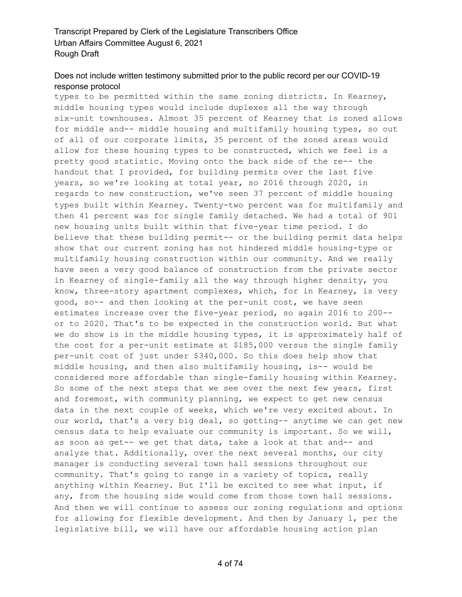# Does not include written testimony submitted prior to the public record per our COVID-19 response protocol

types to be permitted within the same zoning districts. In Kearney, middle housing types would include duplexes all the way through six-unit townhouses. Almost 35 percent of Kearney that is zoned allows for middle and-- middle housing and multifamily housing types, so out of all of our corporate limits, 35 percent of the zoned areas would allow for these housing types to be constructed, which we feel is a pretty good statistic. Moving onto the back side of the re-- the handout that I provided, for building permits over the last five years, so we're looking at total year, so 2016 through 2020, in regards to new construction, we've seen 37 percent of middle housing types built within Kearney. Twenty-two percent was for multifamily and then 41 percent was for single family detached. We had a total of 901 new housing units built within that five-year time period. I do believe that these building permit-- or the building permit data helps show that our current zoning has not hindered middle housing-type or multifamily housing construction within our community. And we really have seen a very good balance of construction from the private sector in Kearney of single-family all the way through higher density, you know, three-story apartment complexes, which, for in Kearney, is very good, so-- and then looking at the per-unit cost, we have seen estimates increase over the five-year period, so again 2016 to 200- or to 2020. That's to be expected in the construction world. But what we do show is in the middle housing types, it is approximately half of the cost for a per-unit estimate at \$185,000 versus the single family per-unit cost of just under \$340,000. So this does help show that middle housing, and then also multifamily housing, is-- would be considered more affordable than single-family housing within Kearney. So some of the next steps that we see over the next few years, first and foremost, with community planning, we expect to get new census data in the next couple of weeks, which we're very excited about. In our world, that's a very big deal, so getting-- anytime we can get new census data to help evaluate our community is important. So we will, as soon as get-- we get that data, take a look at that and-- and analyze that. Additionally, over the next several months, our city manager is conducting several town hall sessions throughout our community. That's going to range in a variety of topics, really anything within Kearney. But I'll be excited to see what input, if any, from the housing side would come from those town hall sessions. And then we will continue to assess our zoning regulations and options for allowing for flexible development. And then by January 1, per the legislative bill, we will have our affordable housing action plan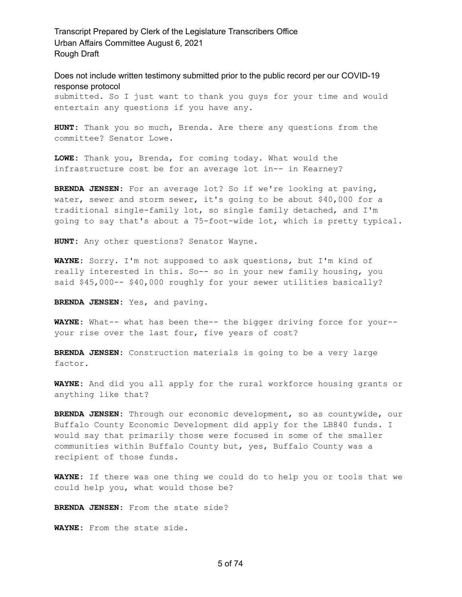Does not include written testimony submitted prior to the public record per our COVID-19 response protocol

submitted. So I just want to thank you guys for your time and would entertain any questions if you have any.

**HUNT:** Thank you so much, Brenda. Are there any questions from the committee? Senator Lowe.

**LOWE:** Thank you, Brenda, for coming today. What would the infrastructure cost be for an average lot in-- in Kearney?

**BRENDA JENSEN:** For an average lot? So if we're looking at paving, water, sewer and storm sewer, it's going to be about \$40,000 for a traditional single-family lot, so single family detached, and I'm going to say that's about a 75-foot-wide lot, which is pretty typical.

**HUNT:** Any other questions? Senator Wayne.

**WAYNE:** Sorry. I'm not supposed to ask questions, but I'm kind of really interested in this. So-- so in your new family housing, you said \$45,000-- \$40,000 roughly for your sewer utilities basically?

**BRENDA JENSEN:** Yes, and paving.

**WAYNE:** What-- what has been the-- the bigger driving force for your- your rise over the last four, five years of cost?

**BRENDA JENSEN:** Construction materials is going to be a very large factor.

**WAYNE:** And did you all apply for the rural workforce housing grants or anything like that?

**BRENDA JENSEN:** Through our economic development, so as countywide, our Buffalo County Economic Development did apply for the LB840 funds. I would say that primarily those were focused in some of the smaller communities within Buffalo County but, yes, Buffalo County was a recipient of those funds.

**WAYNE:** If there was one thing we could do to help you or tools that we could help you, what would those be?

**BRENDA JENSEN:** From the state side?

**WAYNE:** From the state side.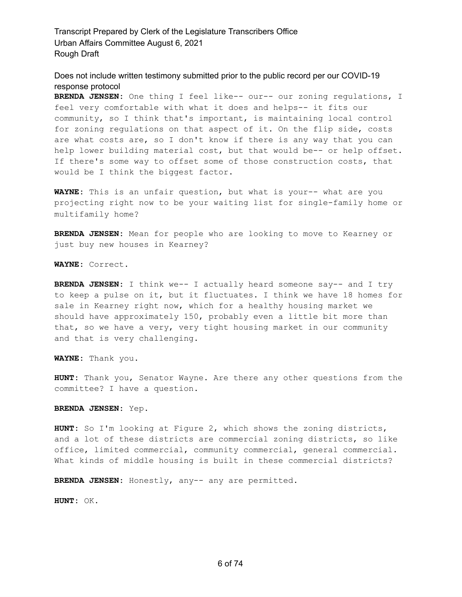Does not include written testimony submitted prior to the public record per our COVID-19 response protocol

**BRENDA JENSEN:** One thing I feel like-- our-- our zoning regulations, I feel very comfortable with what it does and helps-- it fits our community, so I think that's important, is maintaining local control for zoning regulations on that aspect of it. On the flip side, costs are what costs are, so I don't know if there is any way that you can help lower building material cost, but that would be-- or help offset. If there's some way to offset some of those construction costs, that would be I think the biggest factor.

**WAYNE:** This is an unfair question, but what is your-- what are you projecting right now to be your waiting list for single-family home or multifamily home?

**BRENDA JENSEN:** Mean for people who are looking to move to Kearney or just buy new houses in Kearney?

**WAYNE:** Correct.

**BRENDA JENSEN:** I think we-- I actually heard someone say-- and I try to keep a pulse on it, but it fluctuates. I think we have 18 homes for sale in Kearney right now, which for a healthy housing market we should have approximately 150, probably even a little bit more than that, so we have a very, very tight housing market in our community and that is very challenging.

**WAYNE:** Thank you.

**HUNT:** Thank you, Senator Wayne. Are there any other questions from the committee? I have a question.

**BRENDA JENSEN:** Yep.

**HUNT:** So I'm looking at Figure 2, which shows the zoning districts, and a lot of these districts are commercial zoning districts, so like office, limited commercial, community commercial, general commercial. What kinds of middle housing is built in these commercial districts?

**BRENDA JENSEN:** Honestly, any-- any are permitted.

**HUNT:** OK.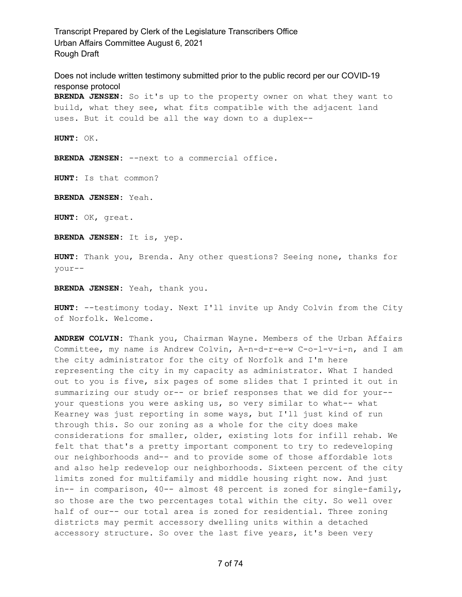Does not include written testimony submitted prior to the public record per our COVID-19 response protocol **BRENDA JENSEN:** So it's up to the property owner on what they want to build, what they see, what fits compatible with the adjacent land uses. But it could be all the way down to a duplex--

**HUNT:** OK.

**BRENDA JENSEN:** --next to a commercial office.

**HUNT:** Is that common?

**BRENDA JENSEN:** Yeah.

**HUNT:** OK, great.

**BRENDA JENSEN:** It is, yep.

**HUNT:** Thank you, Brenda. Any other questions? Seeing none, thanks for your--

**BRENDA JENSEN:** Yeah, thank you.

**HUNT:** --testimony today. Next I'll invite up Andy Colvin from the City of Norfolk. Welcome.

**ANDREW COLVIN:** Thank you, Chairman Wayne. Members of the Urban Affairs Committee, my name is Andrew Colvin, A-n-d-r-e-w C-o-l-v-i-n, and I am the city administrator for the city of Norfolk and I'm here representing the city in my capacity as administrator. What I handed out to you is five, six pages of some slides that I printed it out in summarizing our study or-- or brief responses that we did for your- your questions you were asking us, so very similar to what-- what Kearney was just reporting in some ways, but I'll just kind of run through this. So our zoning as a whole for the city does make considerations for smaller, older, existing lots for infill rehab. We felt that that's a pretty important component to try to redeveloping our neighborhoods and-- and to provide some of those affordable lots and also help redevelop our neighborhoods. Sixteen percent of the city limits zoned for multifamily and middle housing right now. And just in-- in comparison, 40-- almost 48 percent is zoned for single-family, so those are the two percentages total within the city. So well over half of our-- our total area is zoned for residential. Three zoning districts may permit accessory dwelling units within a detached accessory structure. So over the last five years, it's been very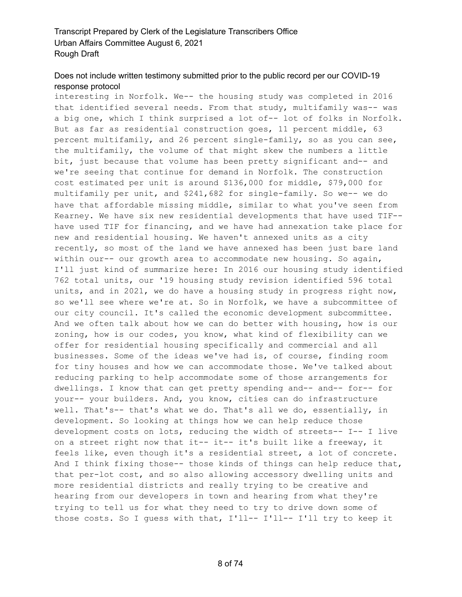## Does not include written testimony submitted prior to the public record per our COVID-19 response protocol

interesting in Norfolk. We-- the housing study was completed in 2016 that identified several needs. From that study, multifamily was-- was a big one, which I think surprised a lot of-- lot of folks in Norfolk. But as far as residential construction goes, 11 percent middle, 63 percent multifamily, and 26 percent single-family, so as you can see, the multifamily, the volume of that might skew the numbers a little bit, just because that volume has been pretty significant and-- and we're seeing that continue for demand in Norfolk. The construction cost estimated per unit is around \$136,000 for middle, \$79,000 for multifamily per unit, and \$241,682 for single-family. So we-- we do have that affordable missing middle, similar to what you've seen from Kearney. We have six new residential developments that have used TIF- have used TIF for financing, and we have had annexation take place for new and residential housing. We haven't annexed units as a city recently, so most of the land we have annexed has been just bare land within our-- our growth area to accommodate new housing. So again, I'll just kind of summarize here: In 2016 our housing study identified 762 total units, our '19 housing study revision identified 596 total units, and in 2021, we do have a housing study in progress right now, so we'll see where we're at. So in Norfolk, we have a subcommittee of our city council. It's called the economic development subcommittee. And we often talk about how we can do better with housing, how is our zoning, how is our codes, you know, what kind of flexibility can we offer for residential housing specifically and commercial and all businesses. Some of the ideas we've had is, of course, finding room for tiny houses and how we can accommodate those. We've talked about reducing parking to help accommodate some of those arrangements for dwellings. I know that can get pretty spending and-- and-- for-- for your-- your builders. And, you know, cities can do infrastructure well. That's-- that's what we do. That's all we do, essentially, in development. So looking at things how we can help reduce those development costs on lots, reducing the width of streets-- I-- I live on a street right now that it-- it-- it's built like a freeway, it feels like, even though it's a residential street, a lot of concrete. And I think fixing those-- those kinds of things can help reduce that, that per-lot cost, and so also allowing accessory dwelling units and more residential districts and really trying to be creative and hearing from our developers in town and hearing from what they're trying to tell us for what they need to try to drive down some of those costs. So I guess with that, I'll-- I'll-- I'll try to keep it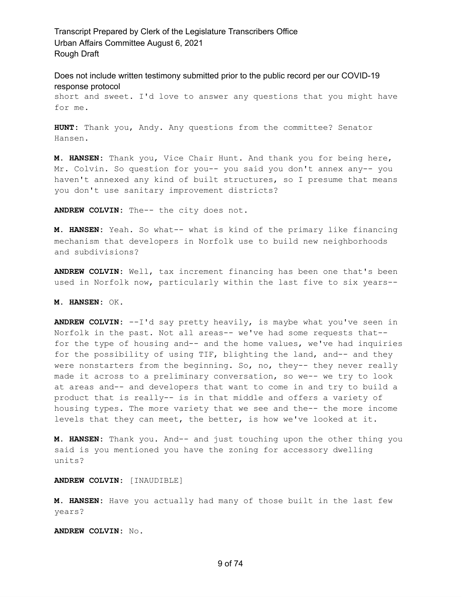Does not include written testimony submitted prior to the public record per our COVID-19 response protocol

short and sweet. I'd love to answer any questions that you might have for me.

**HUNT:** Thank you, Andy. Any questions from the committee? Senator Hansen.

**M. HANSEN:** Thank you, Vice Chair Hunt. And thank you for being here, Mr. Colvin. So question for you-- you said you don't annex any-- you haven't annexed any kind of built structures, so I presume that means you don't use sanitary improvement districts?

**ANDREW COLVIN:** The-- the city does not.

**M. HANSEN:** Yeah. So what-- what is kind of the primary like financing mechanism that developers in Norfolk use to build new neighborhoods and subdivisions?

**ANDREW COLVIN:** Well, tax increment financing has been one that's been used in Norfolk now, particularly within the last five to six years--

#### **M. HANSEN:** OK.

**ANDREW COLVIN:** --I'd say pretty heavily, is maybe what you've seen in Norfolk in the past. Not all areas-- we've had some requests that- for the type of housing and-- and the home values, we've had inquiries for the possibility of using TIF, blighting the land, and-- and they were nonstarters from the beginning. So, no, they-- they never really made it across to a preliminary conversation, so we-- we try to look at areas and-- and developers that want to come in and try to build a product that is really-- is in that middle and offers a variety of housing types. The more variety that we see and the-- the more income levels that they can meet, the better, is how we've looked at it.

**M. HANSEN:** Thank you. And-- and just touching upon the other thing you said is you mentioned you have the zoning for accessory dwelling units?

**ANDREW COLVIN:** [INAUDIBLE]

**M. HANSEN:** Have you actually had many of those built in the last few years?

**ANDREW COLVIN:** No.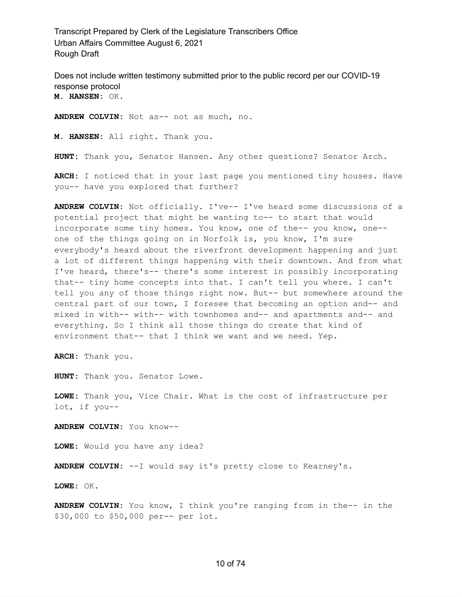Does not include written testimony submitted prior to the public record per our COVID-19 response protocol **M. HANSEN:** OK.

**ANDREW COLVIN:** Not as-- not as much, no.

**M. HANSEN:** All right. Thank you.

**HUNT:** Thank you, Senator Hansen. Any other questions? Senator Arch.

**ARCH:** I noticed that in your last page you mentioned tiny houses. Have you-- have you explored that further?

**ANDREW COLVIN:** Not officially. I've-- I've heard some discussions of a potential project that might be wanting to-- to start that would incorporate some tiny homes. You know, one of the-- you know, one- one of the things going on in Norfolk is, you know, I'm sure everybody's heard about the riverfront development happening and just a lot of different things happening with their downtown. And from what I've heard, there's-- there's some interest in possibly incorporating that-- tiny home concepts into that. I can't tell you where. I can't tell you any of those things right now. But-- but somewhere around the central part of our town, I foresee that becoming an option and-- and mixed in with-- with-- with townhomes and-- and apartments and-- and everything. So I think all those things do create that kind of environment that-- that I think we want and we need. Yep.

**ARCH:** Thank you.

**HUNT:** Thank you. Senator Lowe.

**LOWE:** Thank you, Vice Chair. What is the cost of infrastructure per lot, if you--

**ANDREW COLVIN:** You know--

**LOWE:** Would you have any idea?

**ANDREW COLVIN:** --I would say it's pretty close to Kearney's.

**LOWE:** OK.

**ANDREW COLVIN:** You know, I think you're ranging from in the-- in the \$30,000 to \$50,000 per-- per lot.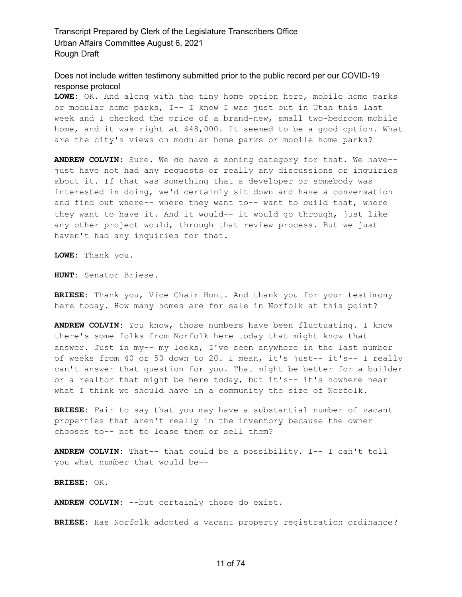Does not include written testimony submitted prior to the public record per our COVID-19 response protocol

**LOWE:** OK. And along with the tiny home option here, mobile home parks or modular home parks, I-- I know I was just out in Utah this last week and I checked the price of a brand-new, small two-bedroom mobile home, and it was right at \$48,000. It seemed to be a good option. What are the city's views on modular home parks or mobile home parks?

**ANDREW COLVIN:** Sure. We do have a zoning category for that. We have- just have not had any requests or really any discussions or inquiries about it. If that was something that a developer or somebody was interested in doing, we'd certainly sit down and have a conversation and find out where-- where they want to-- want to build that, where they want to have it. And it would-- it would go through, just like any other project would, through that review process. But we just haven't had any inquiries for that.

**LOWE:** Thank you.

**HUNT:** Senator Briese.

**BRIESE:** Thank you, Vice Chair Hunt. And thank you for your testimony here today. How many homes are for sale in Norfolk at this point?

**ANDREW COLVIN:** You know, those numbers have been fluctuating. I know there's some folks from Norfolk here today that might know that answer. Just in my-- my looks, I've seen anywhere in the last number of weeks from 40 or 50 down to 20. I mean, it's just-- it's-- I really can't answer that question for you. That might be better for a builder or a realtor that might be here today, but it's-- it's nowhere near what I think we should have in a community the size of Norfolk.

**BRIESE:** Fair to say that you may have a substantial number of vacant properties that aren't really in the inventory because the owner chooses to-- not to lease them or sell them?

**ANDREW COLVIN:** That-- that could be a possibility. I-- I can't tell you what number that would be--

**BRIESE:** OK.

**ANDREW COLVIN:** --but certainly those do exist.

**BRIESE:** Has Norfolk adopted a vacant property registration ordinance?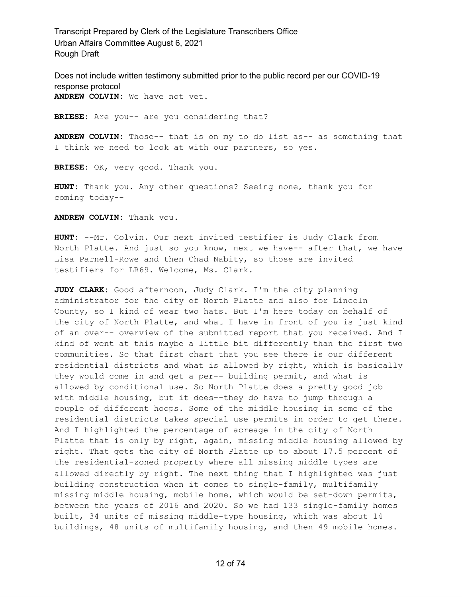Does not include written testimony submitted prior to the public record per our COVID-19 response protocol **ANDREW COLVIN:** We have not yet.

**BRIESE:** Are you-- are you considering that?

**ANDREW COLVIN:** Those-- that is on my to do list as-- as something that I think we need to look at with our partners, so yes.

**BRIESE:** OK, very good. Thank you.

**HUNT:** Thank you. Any other questions? Seeing none, thank you for coming today--

**ANDREW COLVIN:** Thank you.

**HUNT:** --Mr. Colvin. Our next invited testifier is Judy Clark from North Platte. And just so you know, next we have-- after that, we have Lisa Parnell-Rowe and then Chad Nabity, so those are invited testifiers for LR69. Welcome, Ms. Clark.

**JUDY CLARK:** Good afternoon, Judy Clark. I'm the city planning administrator for the city of North Platte and also for Lincoln County, so I kind of wear two hats. But I'm here today on behalf of the city of North Platte, and what I have in front of you is just kind of an over-- overview of the submitted report that you received. And I kind of went at this maybe a little bit differently than the first two communities. So that first chart that you see there is our different residential districts and what is allowed by right, which is basically they would come in and get a per-- building permit, and what is allowed by conditional use. So North Platte does a pretty good job with middle housing, but it does--they do have to jump through a couple of different hoops. Some of the middle housing in some of the residential districts takes special use permits in order to get there. And I highlighted the percentage of acreage in the city of North Platte that is only by right, again, missing middle housing allowed by right. That gets the city of North Platte up to about 17.5 percent of the residential-zoned property where all missing middle types are allowed directly by right. The next thing that I highlighted was just building construction when it comes to single-family, multifamily missing middle housing, mobile home, which would be set-down permits, between the years of 2016 and 2020. So we had 133 single-family homes built, 34 units of missing middle-type housing, which was about 14 buildings, 48 units of multifamily housing, and then 49 mobile homes.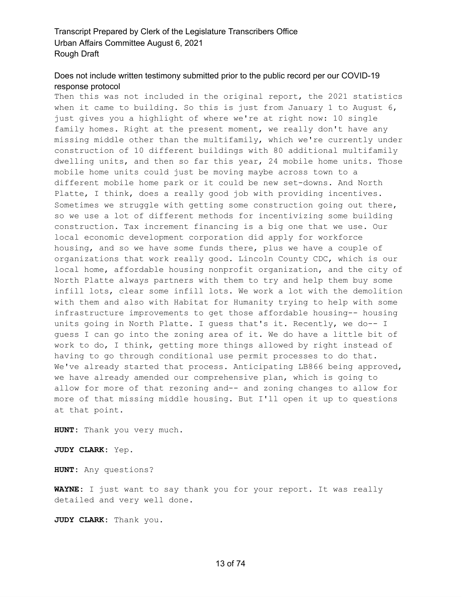#### Does not include written testimony submitted prior to the public record per our COVID-19 response protocol

Then this was not included in the original report, the 2021 statistics when it came to building. So this is just from January 1 to August 6, just gives you a highlight of where we're at right now: 10 single family homes. Right at the present moment, we really don't have any missing middle other than the multifamily, which we're currently under construction of 10 different buildings with 80 additional multifamily dwelling units, and then so far this year, 24 mobile home units. Those mobile home units could just be moving maybe across town to a different mobile home park or it could be new set-downs. And North Platte, I think, does a really good job with providing incentives. Sometimes we struggle with getting some construction going out there, so we use a lot of different methods for incentivizing some building construction. Tax increment financing is a big one that we use. Our local economic development corporation did apply for workforce housing, and so we have some funds there, plus we have a couple of organizations that work really good. Lincoln County CDC, which is our local home, affordable housing nonprofit organization, and the city of North Platte always partners with them to try and help them buy some infill lots, clear some infill lots. We work a lot with the demolition with them and also with Habitat for Humanity trying to help with some infrastructure improvements to get those affordable housing-- housing units going in North Platte. I guess that's it. Recently, we do-- I guess I can go into the zoning area of it. We do have a little bit of work to do, I think, getting more things allowed by right instead of having to go through conditional use permit processes to do that. We've already started that process. Anticipating LB866 being approved, we have already amended our comprehensive plan, which is going to allow for more of that rezoning and-- and zoning changes to allow for more of that missing middle housing. But I'll open it up to questions at that point.

**HUNT:** Thank you very much.

**JUDY CLARK:** Yep.

**HUNT:** Any questions?

**WAYNE:** I just want to say thank you for your report. It was really detailed and very well done.

**JUDY CLARK:** Thank you.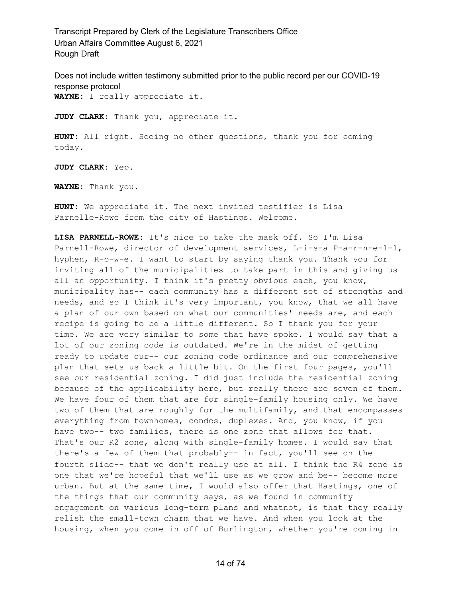Does not include written testimony submitted prior to the public record per our COVID-19 response protocol **WAYNE:** I really appreciate it.

**JUDY CLARK:** Thank you, appreciate it.

**HUNT:** All right. Seeing no other questions, thank you for coming today.

**JUDY CLARK:** Yep.

**WAYNE:** Thank you.

**HUNT:** We appreciate it. The next invited testifier is Lisa Parnelle-Rowe from the city of Hastings. Welcome.

**LISA PARNELL-ROWE:** It's nice to take the mask off. So I'm Lisa Parnell-Rowe, director of development services, L-i-s-a P-a-r-n-e-l-l, hyphen, R-o-w-e. I want to start by saying thank you. Thank you for inviting all of the municipalities to take part in this and giving us all an opportunity. I think it's pretty obvious each, you know, municipality has-- each community has a different set of strengths and needs, and so I think it's very important, you know, that we all have a plan of our own based on what our communities' needs are, and each recipe is going to be a little different. So I thank you for your time. We are very similar to some that have spoke. I would say that a lot of our zoning code is outdated. We're in the midst of getting ready to update our-- our zoning code ordinance and our comprehensive plan that sets us back a little bit. On the first four pages, you'll see our residential zoning. I did just include the residential zoning because of the applicability here, but really there are seven of them. We have four of them that are for single-family housing only. We have two of them that are roughly for the multifamily, and that encompasses everything from townhomes, condos, duplexes. And, you know, if you have two-- two families, there is one zone that allows for that. That's our R2 zone, along with single-family homes. I would say that there's a few of them that probably-- in fact, you'll see on the fourth slide-- that we don't really use at all. I think the R4 zone is one that we're hopeful that we'll use as we grow and be-- become more urban. But at the same time, I would also offer that Hastings, one of the things that our community says, as we found in community engagement on various long-term plans and whatnot, is that they really relish the small-town charm that we have. And when you look at the housing, when you come in off of Burlington, whether you're coming in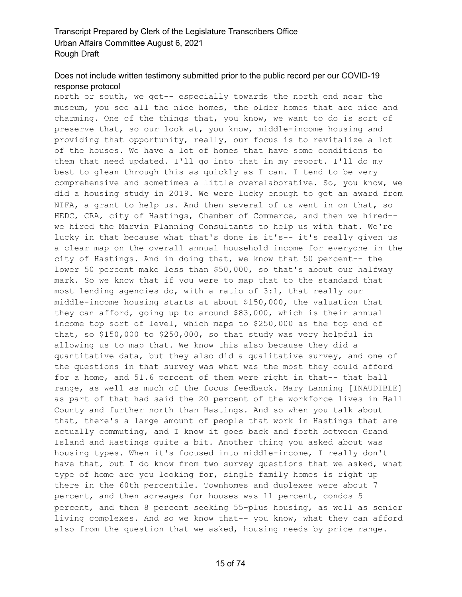## Does not include written testimony submitted prior to the public record per our COVID-19 response protocol

north or south, we get-- especially towards the north end near the museum, you see all the nice homes, the older homes that are nice and charming. One of the things that, you know, we want to do is sort of preserve that, so our look at, you know, middle-income housing and providing that opportunity, really, our focus is to revitalize a lot of the houses. We have a lot of homes that have some conditions to them that need updated. I'll go into that in my report. I'll do my best to glean through this as quickly as I can. I tend to be very comprehensive and sometimes a little overelaborative. So, you know, we did a housing study in 2019. We were lucky enough to get an award from NIFA, a grant to help us. And then several of us went in on that, so HEDC, CRA, city of Hastings, Chamber of Commerce, and then we hired- we hired the Marvin Planning Consultants to help us with that. We're lucky in that because what that's done is it's-- it's really given us a clear map on the overall annual household income for everyone in the city of Hastings. And in doing that, we know that 50 percent-- the lower 50 percent make less than \$50,000, so that's about our halfway mark. So we know that if you were to map that to the standard that most lending agencies do, with a ratio of 3:1, that really our middle-income housing starts at about \$150,000, the valuation that they can afford, going up to around \$83,000, which is their annual income top sort of level, which maps to \$250,000 as the top end of that, so \$150,000 to \$250,000, so that study was very helpful in allowing us to map that. We know this also because they did a quantitative data, but they also did a qualitative survey, and one of the questions in that survey was what was the most they could afford for a home, and 51.6 percent of them were right in that-- that ball range, as well as much of the focus feedback. Mary Lanning [INAUDIBLE] as part of that had said the 20 percent of the workforce lives in Hall County and further north than Hastings. And so when you talk about that, there's a large amount of people that work in Hastings that are actually commuting, and I know it goes back and forth between Grand Island and Hastings quite a bit. Another thing you asked about was housing types. When it's focused into middle-income, I really don't have that, but I do know from two survey questions that we asked, what type of home are you looking for, single family homes is right up there in the 60th percentile. Townhomes and duplexes were about 7 percent, and then acreages for houses was 11 percent, condos 5 percent, and then 8 percent seeking 55-plus housing, as well as senior living complexes. And so we know that-- you know, what they can afford also from the question that we asked, housing needs by price range.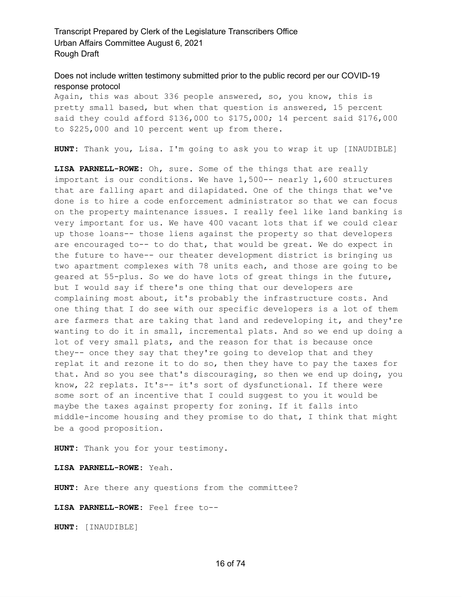#### Does not include written testimony submitted prior to the public record per our COVID-19 response protocol

Again, this was about 336 people answered, so, you know, this is pretty small based, but when that question is answered, 15 percent said they could afford \$136,000 to \$175,000; 14 percent said \$176,000 to \$225,000 and 10 percent went up from there.

**HUNT:** Thank you, Lisa. I'm going to ask you to wrap it up [INAUDIBLE]

**LISA PARNELL-ROWE:** Oh, sure. Some of the things that are really important is our conditions. We have 1,500-- nearly 1,600 structures that are falling apart and dilapidated. One of the things that we've done is to hire a code enforcement administrator so that we can focus on the property maintenance issues. I really feel like land banking is very important for us. We have 400 vacant lots that if we could clear up those loans-- those liens against the property so that developers are encouraged to-- to do that, that would be great. We do expect in the future to have-- our theater development district is bringing us two apartment complexes with 78 units each, and those are going to be geared at 55-plus. So we do have lots of great things in the future, but I would say if there's one thing that our developers are complaining most about, it's probably the infrastructure costs. And one thing that I do see with our specific developers is a lot of them are farmers that are taking that land and redeveloping it, and they're wanting to do it in small, incremental plats. And so we end up doing a lot of very small plats, and the reason for that is because once they-- once they say that they're going to develop that and they replat it and rezone it to do so, then they have to pay the taxes for that. And so you see that's discouraging, so then we end up doing, you know, 22 replats. It's-- it's sort of dysfunctional. If there were some sort of an incentive that I could suggest to you it would be maybe the taxes against property for zoning. If it falls into middle-income housing and they promise to do that, I think that might be a good proposition.

**HUNT:** Thank you for your testimony.

**LISA PARNELL-ROWE:** Yeah.

**HUNT:** Are there any questions from the committee?

**LISA PARNELL-ROWE:** Feel free to--

**HUNT:** [INAUDIBLE]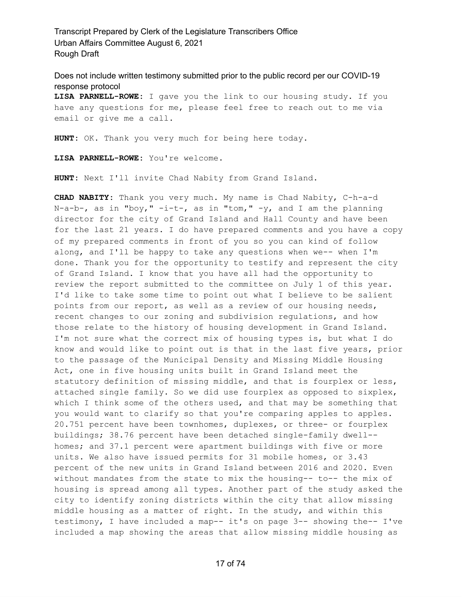Does not include written testimony submitted prior to the public record per our COVID-19 response protocol

**LISA PARNELL-ROWE:** I gave you the link to our housing study. If you have any questions for me, please feel free to reach out to me via email or give me a call.

**HUNT:** OK. Thank you very much for being here today.

**LISA PARNELL-ROWE:** You're welcome.

**HUNT:** Next I'll invite Chad Nabity from Grand Island.

**CHAD NABITY:** Thank you very much. My name is Chad Nabity, C-h-a-d N-a-b-, as in "boy,"  $-i-t-$ , as in "tom,"  $-y$ , and I am the planning director for the city of Grand Island and Hall County and have been for the last 21 years. I do have prepared comments and you have a copy of my prepared comments in front of you so you can kind of follow along, and I'll be happy to take any questions when we-- when I'm done. Thank you for the opportunity to testify and represent the city of Grand Island. I know that you have all had the opportunity to review the report submitted to the committee on July 1 of this year. I'd like to take some time to point out what I believe to be salient points from our report, as well as a review of our housing needs, recent changes to our zoning and subdivision regulations, and how those relate to the history of housing development in Grand Island. I'm not sure what the correct mix of housing types is, but what I do know and would like to point out is that in the last five years, prior to the passage of the Municipal Density and Missing Middle Housing Act, one in five housing units built in Grand Island meet the statutory definition of missing middle, and that is fourplex or less, attached single family. So we did use fourplex as opposed to sixplex, which I think some of the others used, and that may be something that you would want to clarify so that you're comparing apples to apples. 20.751 percent have been townhomes, duplexes, or three- or fourplex buildings; 38.76 percent have been detached single-family dwell- homes; and 37.1 percent were apartment buildings with five or more units. We also have issued permits for 31 mobile homes, or 3.43 percent of the new units in Grand Island between 2016 and 2020. Even without mandates from the state to mix the housing-- to-- the mix of housing is spread among all types. Another part of the study asked the city to identify zoning districts within the city that allow missing middle housing as a matter of right. In the study, and within this testimony, I have included a map-- it's on page 3-- showing the-- I've included a map showing the areas that allow missing middle housing as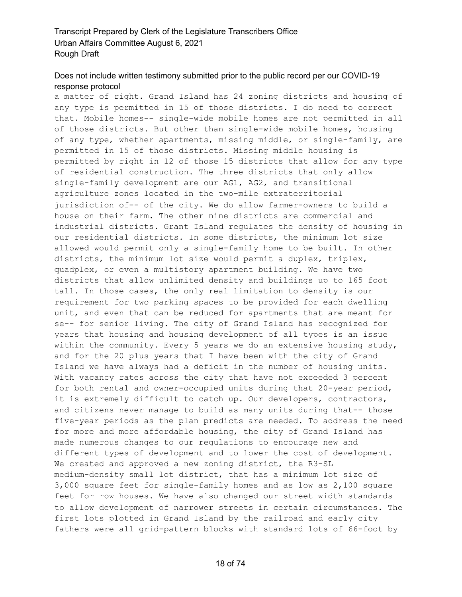#### Does not include written testimony submitted prior to the public record per our COVID-19 response protocol

a matter of right. Grand Island has 24 zoning districts and housing of any type is permitted in 15 of those districts. I do need to correct that. Mobile homes-- single-wide mobile homes are not permitted in all of those districts. But other than single-wide mobile homes, housing of any type, whether apartments, missing middle, or single-family, are permitted in 15 of those districts. Missing middle housing is permitted by right in 12 of those 15 districts that allow for any type of residential construction. The three districts that only allow single-family development are our AG1, AG2, and transitional agriculture zones located in the two-mile extraterritorial jurisdiction of-- of the city. We do allow farmer-owners to build a house on their farm. The other nine districts are commercial and industrial districts. Grant Island regulates the density of housing in our residential districts. In some districts, the minimum lot size allowed would permit only a single-family home to be built. In other districts, the minimum lot size would permit a duplex, triplex, quadplex, or even a multistory apartment building. We have two districts that allow unlimited density and buildings up to 165 foot tall. In those cases, the only real limitation to density is our requirement for two parking spaces to be provided for each dwelling unit, and even that can be reduced for apartments that are meant for se-- for senior living. The city of Grand Island has recognized for years that housing and housing development of all types is an issue within the community. Every 5 years we do an extensive housing study, and for the 20 plus years that I have been with the city of Grand Island we have always had a deficit in the number of housing units. With vacancy rates across the city that have not exceeded 3 percent for both rental and owner-occupied units during that 20-year period, it is extremely difficult to catch up. Our developers, contractors, and citizens never manage to build as many units during that-- those five-year periods as the plan predicts are needed. To address the need for more and more affordable housing, the city of Grand Island has made numerous changes to our regulations to encourage new and different types of development and to lower the cost of development. We created and approved a new zoning district, the R3-SL medium-density small lot district, that has a minimum lot size of 3,000 square feet for single-family homes and as low as 2,100 square feet for row houses. We have also changed our street width standards to allow development of narrower streets in certain circumstances. The first lots plotted in Grand Island by the railroad and early city fathers were all grid-pattern blocks with standard lots of 66-foot by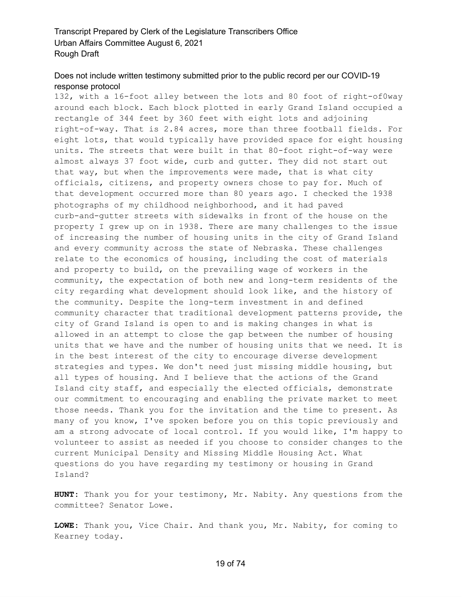#### Does not include written testimony submitted prior to the public record per our COVID-19 response protocol

132, with a 16-foot alley between the lots and 80 foot of right-of0way around each block. Each block plotted in early Grand Island occupied a rectangle of 344 feet by 360 feet with eight lots and adjoining right-of-way. That is 2.84 acres, more than three football fields. For eight lots, that would typically have provided space for eight housing units. The streets that were built in that 80-foot right-of-way were almost always 37 foot wide, curb and gutter. They did not start out that way, but when the improvements were made, that is what city officials, citizens, and property owners chose to pay for. Much of that development occurred more than 80 years ago. I checked the 1938 photographs of my childhood neighborhood, and it had paved curb-and-gutter streets with sidewalks in front of the house on the property I grew up on in 1938. There are many challenges to the issue of increasing the number of housing units in the city of Grand Island and every community across the state of Nebraska. These challenges relate to the economics of housing, including the cost of materials and property to build, on the prevailing wage of workers in the community, the expectation of both new and long-term residents of the city regarding what development should look like, and the history of the community. Despite the long-term investment in and defined community character that traditional development patterns provide, the city of Grand Island is open to and is making changes in what is allowed in an attempt to close the gap between the number of housing units that we have and the number of housing units that we need. It is in the best interest of the city to encourage diverse development strategies and types. We don't need just missing middle housing, but all types of housing. And I believe that the actions of the Grand Island city staff, and especially the elected officials, demonstrate our commitment to encouraging and enabling the private market to meet those needs. Thank you for the invitation and the time to present. As many of you know, I've spoken before you on this topic previously and am a strong advocate of local control. If you would like, I'm happy to volunteer to assist as needed if you choose to consider changes to the current Municipal Density and Missing Middle Housing Act. What questions do you have regarding my testimony or housing in Grand Island?

**HUNT:** Thank you for your testimony, Mr. Nabity. Any questions from the committee? Senator Lowe.

**LOWE:** Thank you, Vice Chair. And thank you, Mr. Nabity, for coming to Kearney today.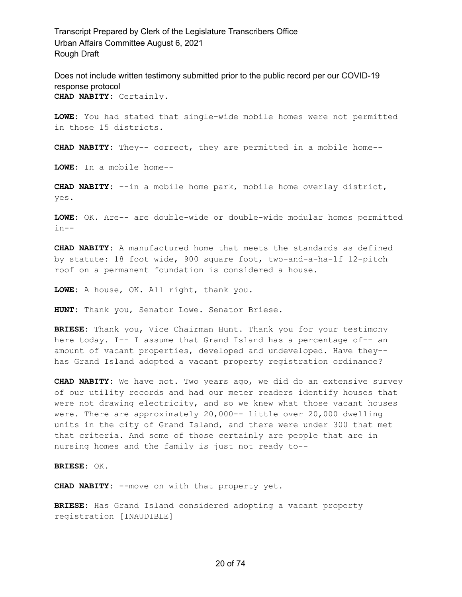Does not include written testimony submitted prior to the public record per our COVID-19 response protocol **CHAD NABITY:** Certainly.

**LOWE:** You had stated that single-wide mobile homes were not permitted in those 15 districts.

**CHAD NABITY:** They-- correct, they are permitted in a mobile home--

**LOWE:** In a mobile home--

**CHAD NABITY:** --in a mobile home park, mobile home overlay district, yes.

**LOWE:** OK. Are-- are double-wide or double-wide modular homes permitted  $in--$ 

**CHAD NABITY:** A manufactured home that meets the standards as defined by statute: 18 foot wide, 900 square foot, two-and-a-ha-lf 12-pitch roof on a permanent foundation is considered a house.

**LOWE:** A house, OK. All right, thank you.

**HUNT:** Thank you, Senator Lowe. Senator Briese.

**BRIESE:** Thank you, Vice Chairman Hunt. Thank you for your testimony here today. I-- I assume that Grand Island has a percentage of-- an amount of vacant properties, developed and undeveloped. Have they- has Grand Island adopted a vacant property registration ordinance?

**CHAD NABITY:** We have not. Two years ago, we did do an extensive survey of our utility records and had our meter readers identify houses that were not drawing electricity, and so we knew what those vacant houses were. There are approximately 20,000-- little over 20,000 dwelling units in the city of Grand Island, and there were under 300 that met that criteria. And some of those certainly are people that are in nursing homes and the family is just not ready to--

**BRIESE:** OK.

**CHAD NABITY:** --move on with that property yet.

**BRIESE:** Has Grand Island considered adopting a vacant property registration [INAUDIBLE]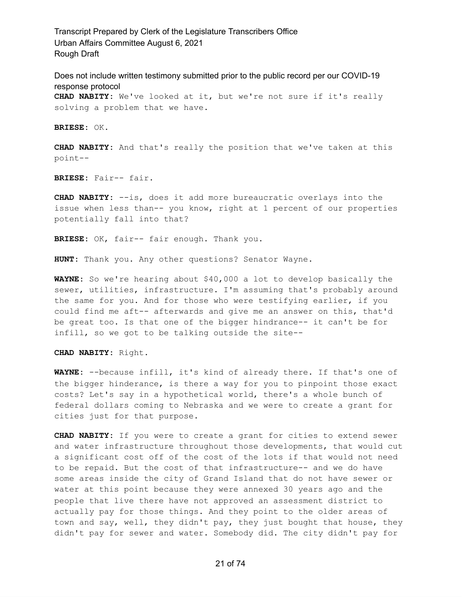Does not include written testimony submitted prior to the public record per our COVID-19 response protocol **CHAD NABITY:** We've looked at it, but we're not sure if it's really solving a problem that we have.

**BRIESE:** OK.

**CHAD NABITY:** And that's really the position that we've taken at this point--

**BRIESE:** Fair-- fair.

**CHAD NABITY:** --is, does it add more bureaucratic overlays into the issue when less than-- you know, right at 1 percent of our properties potentially fall into that?

**BRIESE:** OK, fair-- fair enough. Thank you.

**HUNT:** Thank you. Any other questions? Senator Wayne.

**WAYNE:** So we're hearing about \$40,000 a lot to develop basically the sewer, utilities, infrastructure. I'm assuming that's probably around the same for you. And for those who were testifying earlier, if you could find me aft-- afterwards and give me an answer on this, that'd be great too. Is that one of the bigger hindrance-- it can't be for infill, so we got to be talking outside the site--

**CHAD NABITY:** Right.

**WAYNE:** --because infill, it's kind of already there. If that's one of the bigger hinderance, is there a way for you to pinpoint those exact costs? Let's say in a hypothetical world, there's a whole bunch of federal dollars coming to Nebraska and we were to create a grant for cities just for that purpose.

**CHAD NABITY:** If you were to create a grant for cities to extend sewer and water infrastructure throughout those developments, that would cut a significant cost off of the cost of the lots if that would not need to be repaid. But the cost of that infrastructure-- and we do have some areas inside the city of Grand Island that do not have sewer or water at this point because they were annexed 30 years ago and the people that live there have not approved an assessment district to actually pay for those things. And they point to the older areas of town and say, well, they didn't pay, they just bought that house, they didn't pay for sewer and water. Somebody did. The city didn't pay for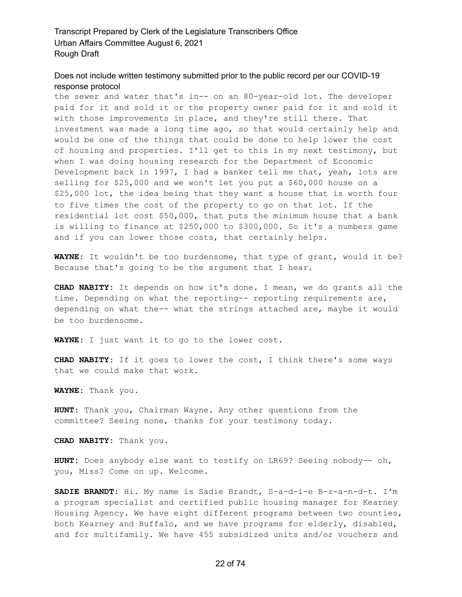#### Does not include written testimony submitted prior to the public record per our COVID-19 response protocol

the sewer and water that's in-- on an 80-year-old lot. The developer paid for it and sold it or the property owner paid for it and sold it with those improvements in place, and they're still there. That investment was made a long time ago, so that would certainly help and would be one of the things that could be done to help lower the cost of housing and properties. I'll get to this in my next testimony, but when I was doing housing research for the Department of Economic Development back in 1997, I had a banker tell me that, yeah, lots are selling for \$25,000 and we won't let you put a \$60,000 house on a \$25,000 lot, the idea being that they want a house that is worth four to five times the cost of the property to go on that lot. If the residential lot cost \$50,000, that puts the minimum house that a bank is willing to finance at \$250,000 to \$300,000. So it's a numbers game and if you can lower those costs, that certainly helps.

**WAYNE:** It wouldn't be too burdensome, that type of grant, would it be? Because that's going to be the argument that I hear.

**CHAD NABITY:** It depends on how it's done. I mean, we do grants all the time. Depending on what the reporting-- reporting requirements are, depending on what the-- what the strings attached are, maybe it would be too burdensome.

**WAYNE:** I just want it to go to the lower cost.

**CHAD NABITY:** If it goes to lower the cost, I think there's some ways that we could make that work.

**WAYNE:** Thank you.

**HUNT:** Thank you, Chairman Wayne. Any other questions from the committee? Seeing none, thanks for your testimony today.

**CHAD NABITY:** Thank you.

**HUNT:** Does anybody else want to testify on LR69? Seeing nobody-- oh, you, Miss? Come on up. Welcome.

**SADIE BRANDT:** Hi. My name is Sadie Brandt, S-a-d-i-e B-r-a-n-d-t. I'm a program specialist and certified public housing manager for Kearney Housing Agency. We have eight different programs between two counties, both Kearney and Buffalo, and we have programs for elderly, disabled, and for multifamily. We have 455 subsidized units and/or vouchers and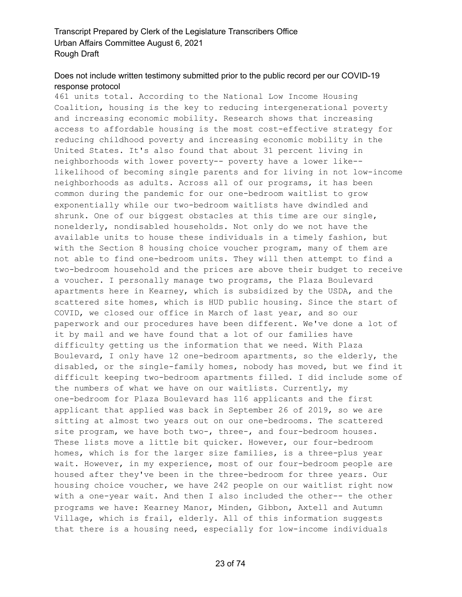## Does not include written testimony submitted prior to the public record per our COVID-19 response protocol

461 units total. According to the National Low Income Housing Coalition, housing is the key to reducing intergenerational poverty and increasing economic mobility. Research shows that increasing access to affordable housing is the most cost-effective strategy for reducing childhood poverty and increasing economic mobility in the United States. It's also found that about 31 percent living in neighborhoods with lower poverty-- poverty have a lower like- likelihood of becoming single parents and for living in not low-income neighborhoods as adults. Across all of our programs, it has been common during the pandemic for our one-bedroom waitlist to grow exponentially while our two-bedroom waitlists have dwindled and shrunk. One of our biggest obstacles at this time are our single, nonelderly, nondisabled households. Not only do we not have the available units to house these individuals in a timely fashion, but with the Section 8 housing choice voucher program, many of them are not able to find one-bedroom units. They will then attempt to find a two-bedroom household and the prices are above their budget to receive a voucher. I personally manage two programs, the Plaza Boulevard apartments here in Kearney, which is subsidized by the USDA, and the scattered site homes, which is HUD public housing. Since the start of COVID, we closed our office in March of last year, and so our paperwork and our procedures have been different. We've done a lot of it by mail and we have found that a lot of our families have difficulty getting us the information that we need. With Plaza Boulevard, I only have 12 one-bedroom apartments, so the elderly, the disabled, or the single-family homes, nobody has moved, but we find it difficult keeping two-bedroom apartments filled. I did include some of the numbers of what we have on our waitlists. Currently, my one-bedroom for Plaza Boulevard has 116 applicants and the first applicant that applied was back in September 26 of 2019, so we are sitting at almost two years out on our one-bedrooms. The scattered site program, we have both two-, three-, and four-bedroom houses. These lists move a little bit quicker. However, our four-bedroom homes, which is for the larger size families, is a three-plus year wait. However, in my experience, most of our four-bedroom people are housed after they've been in the three-bedroom for three years. Our housing choice voucher, we have 242 people on our waitlist right now with a one-year wait. And then I also included the other-- the other programs we have: Kearney Manor, Minden, Gibbon, Axtell and Autumn Village, which is frail, elderly. All of this information suggests that there is a housing need, especially for low-income individuals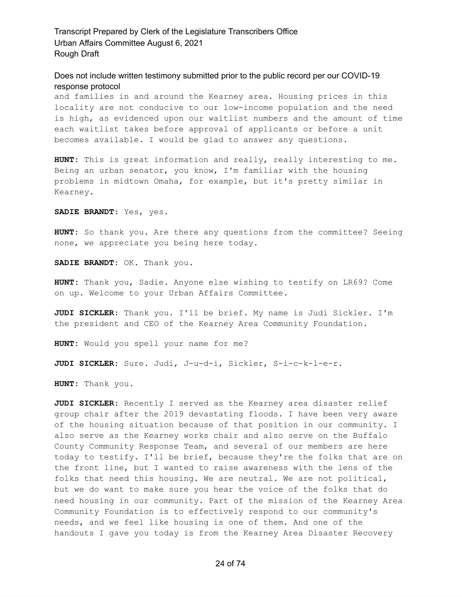#### Does not include written testimony submitted prior to the public record per our COVID-19 response protocol

and families in and around the Kearney area. Housing prices in this locality are not conducive to our low-income population and the need is high, as evidenced upon our waitlist numbers and the amount of time each waitlist takes before approval of applicants or before a unit becomes available. I would be glad to answer any questions.

**HUNT:** This is great information and really, really interesting to me. Being an urban senator, you know, I'm familiar with the housing problems in midtown Omaha, for example, but it's pretty similar in Kearney.

**SADIE BRANDT:** Yes, yes.

**HUNT:** So thank you. Are there any questions from the committee? Seeing none, we appreciate you being here today.

**SADIE BRANDT:** OK. Thank you.

**HUNT:** Thank you, Sadie. Anyone else wishing to testify on LR69? Come on up. Welcome to your Urban Affairs Committee.

**JUDI SICKLER:** Thank you. I'll be brief. My name is Judi Sickler. I'm the president and CEO of the Kearney Area Community Foundation.

**HUNT:** Would you spell your name for me?

**JUDI SICKLER:** Sure. Judi, J-u-d-i, Sickler, S-i-c-k-l-e-r.

**HUNT:** Thank you.

**JUDI SICKLER:** Recently I served as the Kearney area disaster relief group chair after the 2019 devastating floods. I have been very aware of the housing situation because of that position in our community. I also serve as the Kearney works chair and also serve on the Buffalo County Community Response Team, and several of our members are here today to testify. I'll be brief, because they're the folks that are on the front line, but I wanted to raise awareness with the lens of the folks that need this housing. We are neutral. We are not political, but we do want to make sure you hear the voice of the folks that do need housing in our community. Part of the mission of the Kearney Area Community Foundation is to effectively respond to our community's needs, and we feel like housing is one of them. And one of the handouts I gave you today is from the Kearney Area Disaster Recovery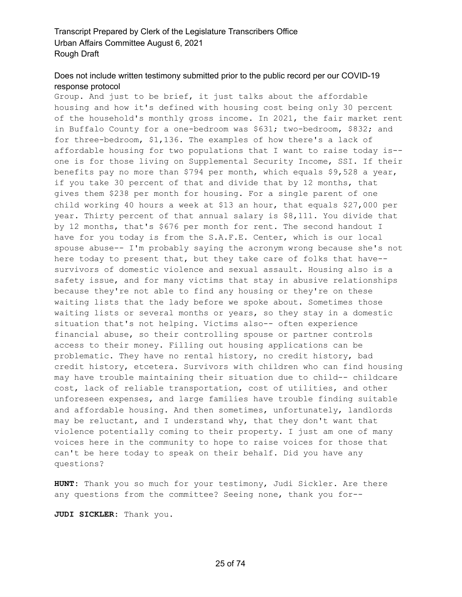## Does not include written testimony submitted prior to the public record per our COVID-19 response protocol

Group. And just to be brief, it just talks about the affordable housing and how it's defined with housing cost being only 30 percent of the household's monthly gross income. In 2021, the fair market rent in Buffalo County for a one-bedroom was \$631; two-bedroom, \$832; and for three-bedroom, \$1,136. The examples of how there's a lack of affordable housing for two populations that I want to raise today is- one is for those living on Supplemental Security Income, SSI. If their benefits pay no more than \$794 per month, which equals \$9,528 a year, if you take 30 percent of that and divide that by 12 months, that gives them \$238 per month for housing. For a single parent of one child working 40 hours a week at \$13 an hour, that equals \$27,000 per year. Thirty percent of that annual salary is \$8,111. You divide that by 12 months, that's \$676 per month for rent. The second handout I have for you today is from the S.A.F.E. Center, which is our local spouse abuse-- I'm probably saying the acronym wrong because she's not here today to present that, but they take care of folks that have- survivors of domestic violence and sexual assault. Housing also is a safety issue, and for many victims that stay in abusive relationships because they're not able to find any housing or they're on these waiting lists that the lady before we spoke about. Sometimes those waiting lists or several months or years, so they stay in a domestic situation that's not helping. Victims also-- often experience financial abuse, so their controlling spouse or partner controls access to their money. Filling out housing applications can be problematic. They have no rental history, no credit history, bad credit history, etcetera. Survivors with children who can find housing may have trouble maintaining their situation due to child-- childcare cost, lack of reliable transportation, cost of utilities, and other unforeseen expenses, and large families have trouble finding suitable and affordable housing. And then sometimes, unfortunately, landlords may be reluctant, and I understand why, that they don't want that violence potentially coming to their property. I just am one of many voices here in the community to hope to raise voices for those that can't be here today to speak on their behalf. Did you have any questions?

**HUNT:** Thank you so much for your testimony, Judi Sickler. Are there any questions from the committee? Seeing none, thank you for--

**JUDI SICKLER:** Thank you.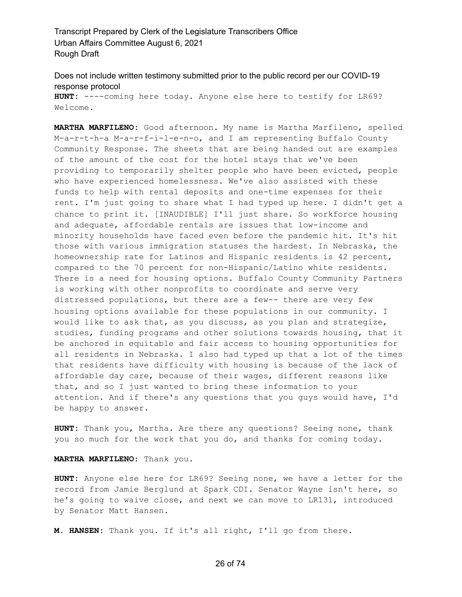Does not include written testimony submitted prior to the public record per our COVID-19 response protocol

**HUNT:** ----coming here today. Anyone else here to testify for LR69? Welcome.

**MARTHA MARFILENO:** Good afternoon. My name is Martha Marfileno, spelled M-a-r-t-h-a M-a-r-f-i-l-e-n-o, and I am representing Buffalo County Community Response. The sheets that are being handed out are examples of the amount of the cost for the hotel stays that we've been providing to temporarily shelter people who have been evicted, people who have experienced homelessness. We've also assisted with these funds to help with rental deposits and one-time expenses for their rent. I'm just going to share what I had typed up here. I didn't get a chance to print it. [INAUDIBLE] I'll just share. So workforce housing and adequate, affordable rentals are issues that low-income and minority households have faced even before the pandemic hit. It's hit those with various immigration statuses the hardest. In Nebraska, the homeownership rate for Latinos and Hispanic residents is 42 percent, compared to the 70 percent for non-Hispanic/Latino white residents. There is a need for housing options. Buffalo County Community Partners is working with other nonprofits to coordinate and serve very distressed populations, but there are a few-- there are very few housing options available for these populations in our community. I would like to ask that, as you discuss, as you plan and strategize, studies, funding programs and other solutions towards housing, that it be anchored in equitable and fair access to housing opportunities for all residents in Nebraska. I also had typed up that a lot of the times that residents have difficulty with housing is because of the lack of affordable day care, because of their wages, different reasons like that, and so I just wanted to bring these information to your attention. And if there's any questions that you guys would have, I'd be happy to answer.

**HUNT:** Thank you, Martha. Are there any questions? Seeing none, thank you so much for the work that you do, and thanks for coming today.

#### **MARTHA MARFILENO:** Thank you.

**HUNT:** Anyone else here for LR69? Seeing none, we have a letter for the record from Jamie Berglund at Spark CDI. Senator Wayne isn't here, so he's going to waive close, and next we can move to LR131, introduced by Senator Matt Hansen.

**M. HANSEN:** Thank you. If it's all right, I'll go from there.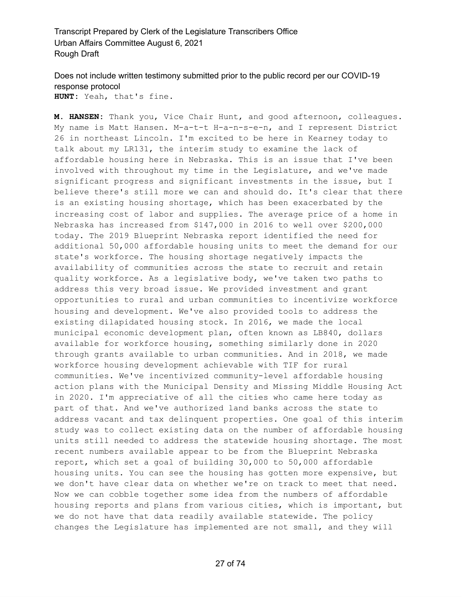Does not include written testimony submitted prior to the public record per our COVID-19 response protocol **HUNT:** Yeah, that's fine.

**M. HANSEN:** Thank you, Vice Chair Hunt, and good afternoon, colleagues. My name is Matt Hansen. M-a-t-t H-a-n-s-e-n, and I represent District 26 in northeast Lincoln. I'm excited to be here in Kearney today to talk about my LR131, the interim study to examine the lack of affordable housing here in Nebraska. This is an issue that I've been involved with throughout my time in the Legislature, and we've made significant progress and significant investments in the issue, but I believe there's still more we can and should do. It's clear that there is an existing housing shortage, which has been exacerbated by the increasing cost of labor and supplies. The average price of a home in Nebraska has increased from \$147,000 in 2016 to well over \$200,000 today. The 2019 Blueprint Nebraska report identified the need for additional 50,000 affordable housing units to meet the demand for our state's workforce. The housing shortage negatively impacts the availability of communities across the state to recruit and retain quality workforce. As a legislative body, we've taken two paths to address this very broad issue. We provided investment and grant opportunities to rural and urban communities to incentivize workforce housing and development. We've also provided tools to address the existing dilapidated housing stock. In 2016, we made the local municipal economic development plan, often known as LB840, dollars available for workforce housing, something similarly done in 2020 through grants available to urban communities. And in 2018, we made workforce housing development achievable with TIF for rural communities. We've incentivized community-level affordable housing action plans with the Municipal Density and Missing Middle Housing Act in 2020. I'm appreciative of all the cities who came here today as part of that. And we've authorized land banks across the state to address vacant and tax delinquent properties. One goal of this interim study was to collect existing data on the number of affordable housing units still needed to address the statewide housing shortage. The most recent numbers available appear to be from the Blueprint Nebraska report, which set a goal of building 30,000 to 50,000 affordable housing units. You can see the housing has gotten more expensive, but we don't have clear data on whether we're on track to meet that need. Now we can cobble together some idea from the numbers of affordable housing reports and plans from various cities, which is important, but we do not have that data readily available statewide. The policy changes the Legislature has implemented are not small, and they will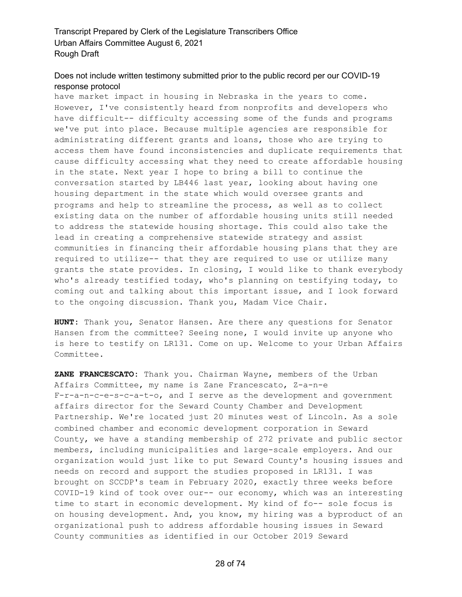## Does not include written testimony submitted prior to the public record per our COVID-19 response protocol

have market impact in housing in Nebraska in the years to come. However, I've consistently heard from nonprofits and developers who have difficult-- difficulty accessing some of the funds and programs we've put into place. Because multiple agencies are responsible for administrating different grants and loans, those who are trying to access them have found inconsistencies and duplicate requirements that cause difficulty accessing what they need to create affordable housing in the state. Next year I hope to bring a bill to continue the conversation started by LB446 last year, looking about having one housing department in the state which would oversee grants and programs and help to streamline the process, as well as to collect existing data on the number of affordable housing units still needed to address the statewide housing shortage. This could also take the lead in creating a comprehensive statewide strategy and assist communities in financing their affordable housing plans that they are required to utilize-- that they are required to use or utilize many grants the state provides. In closing, I would like to thank everybody who's already testified today, who's planning on testifying today, to coming out and talking about this important issue, and I look forward to the ongoing discussion. Thank you, Madam Vice Chair.

**HUNT:** Thank you, Senator Hansen. Are there any questions for Senator Hansen from the committee? Seeing none, I would invite up anyone who is here to testify on LR131. Come on up. Welcome to your Urban Affairs Committee.

**ZANE FRANCESCATO:** Thank you. Chairman Wayne, members of the Urban Affairs Committee, my name is Zane Francescato, Z-a-n-e F-r-a-n-c-e-s-c-a-t-o, and I serve as the development and government affairs director for the Seward County Chamber and Development Partnership. We're located just 20 minutes west of Lincoln. As a sole combined chamber and economic development corporation in Seward County, we have a standing membership of 272 private and public sector members, including municipalities and large-scale employers. And our organization would just like to put Seward County's housing issues and needs on record and support the studies proposed in LR131. I was brought on SCCDP's team in February 2020, exactly three weeks before COVID-19 kind of took over our-- our economy, which was an interesting time to start in economic development. My kind of fo-- sole focus is on housing development. And, you know, my hiring was a byproduct of an organizational push to address affordable housing issues in Seward County communities as identified in our October 2019 Seward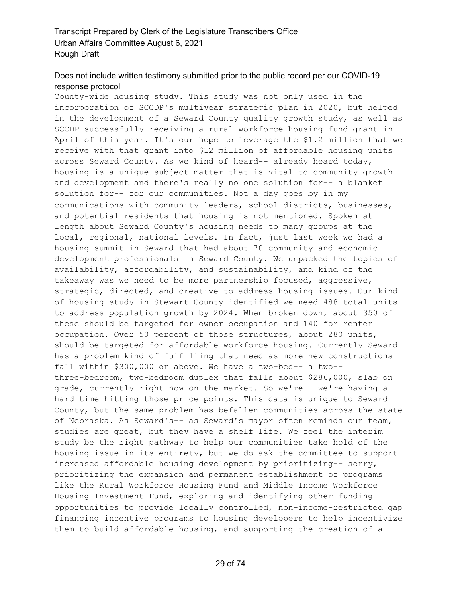## Does not include written testimony submitted prior to the public record per our COVID-19 response protocol

County-wide housing study. This study was not only used in the incorporation of SCCDP's multiyear strategic plan in 2020, but helped in the development of a Seward County quality growth study, as well as SCCDP successfully receiving a rural workforce housing fund grant in April of this year. It's our hope to leverage the \$1.2 million that we receive with that grant into \$12 million of affordable housing units across Seward County. As we kind of heard-- already heard today, housing is a unique subject matter that is vital to community growth and development and there's really no one solution for-- a blanket solution for-- for our communities. Not a day goes by in my communications with community leaders, school districts, businesses, and potential residents that housing is not mentioned. Spoken at length about Seward County's housing needs to many groups at the local, regional, national levels. In fact, just last week we had a housing summit in Seward that had about 70 community and economic development professionals in Seward County. We unpacked the topics of availability, affordability, and sustainability, and kind of the takeaway was we need to be more partnership focused, aggressive, strategic, directed, and creative to address housing issues. Our kind of housing study in Stewart County identified we need 488 total units to address population growth by 2024. When broken down, about 350 of these should be targeted for owner occupation and 140 for renter occupation. Over 50 percent of those structures, about 280 units, should be targeted for affordable workforce housing. Currently Seward has a problem kind of fulfilling that need as more new constructions fall within \$300,000 or above. We have a two-bed-- a two- three-bedroom, two-bedroom duplex that falls about \$286,000, slab on grade, currently right now on the market. So we're-- we're having a hard time hitting those price points. This data is unique to Seward County, but the same problem has befallen communities across the state of Nebraska. As Seward's-- as Seward's mayor often reminds our team, studies are great, but they have a shelf life. We feel the interim study be the right pathway to help our communities take hold of the housing issue in its entirety, but we do ask the committee to support increased affordable housing development by prioritizing-- sorry, prioritizing the expansion and permanent establishment of programs like the Rural Workforce Housing Fund and Middle Income Workforce Housing Investment Fund, exploring and identifying other funding opportunities to provide locally controlled, non-income-restricted gap financing incentive programs to housing developers to help incentivize them to build affordable housing, and supporting the creation of a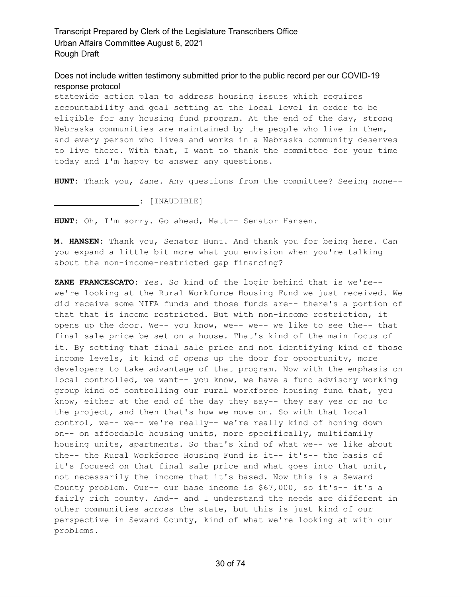Does not include written testimony submitted prior to the public record per our COVID-19 response protocol

statewide action plan to address housing issues which requires accountability and goal setting at the local level in order to be eligible for any housing fund program. At the end of the day, strong Nebraska communities are maintained by the people who live in them, and every person who lives and works in a Nebraska community deserves to live there. With that, I want to thank the committee for your time today and I'm happy to answer any questions.

**HUNT:** Thank you, Zane. Any questions from the committee? Seeing none--

**\_\_\_\_\_\_\_\_\_\_\_\_\_\_\_\_\_:** [INAUDIBLE]

**HUNT:** Oh, I'm sorry. Go ahead, Matt-- Senator Hansen.

**M. HANSEN:** Thank you, Senator Hunt. And thank you for being here. Can you expand a little bit more what you envision when you're talking about the non-income-restricted gap financing?

**ZANE FRANCESCATO:** Yes. So kind of the logic behind that is we're- we're looking at the Rural Workforce Housing Fund we just received. We did receive some NIFA funds and those funds are-- there's a portion of that that is income restricted. But with non-income restriction, it opens up the door. We-- you know, we-- we-- we like to see the-- that final sale price be set on a house. That's kind of the main focus of it. By setting that final sale price and not identifying kind of those income levels, it kind of opens up the door for opportunity, more developers to take advantage of that program. Now with the emphasis on local controlled, we want-- you know, we have a fund advisory working group kind of controlling our rural workforce housing fund that, you know, either at the end of the day they say-- they say yes or no to the project, and then that's how we move on. So with that local control, we-- we-- we're really-- we're really kind of honing down on-- on affordable housing units, more specifically, multifamily housing units, apartments. So that's kind of what we-- we like about the-- the Rural Workforce Housing Fund is it-- it's-- the basis of it's focused on that final sale price and what goes into that unit, not necessarily the income that it's based. Now this is a Seward County problem. Our-- our base income is \$67,000, so it's-- it's a fairly rich county. And-- and I understand the needs are different in other communities across the state, but this is just kind of our perspective in Seward County, kind of what we're looking at with our problems.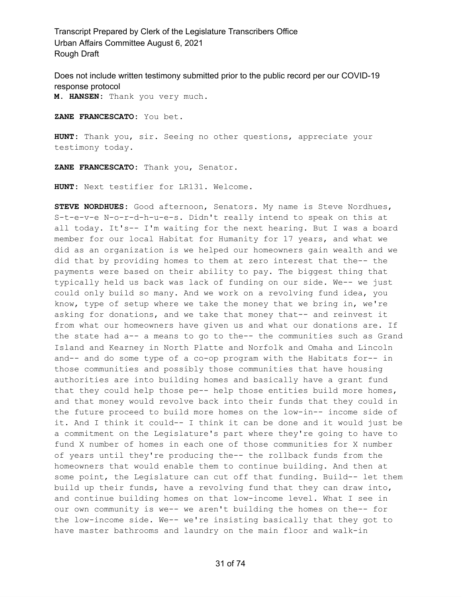Does not include written testimony submitted prior to the public record per our COVID-19 response protocol

**M. HANSEN:** Thank you very much.

**ZANE FRANCESCATO:** You bet.

**HUNT:** Thank you, sir. Seeing no other questions, appreciate your testimony today.

**ZANE FRANCESCATO:** Thank you, Senator.

**HUNT:** Next testifier for LR131. Welcome.

**STEVE NORDHUES:** Good afternoon, Senators. My name is Steve Nordhues, S-t-e-v-e N-o-r-d-h-u-e-s. Didn't really intend to speak on this at all today. It's-- I'm waiting for the next hearing. But I was a board member for our local Habitat for Humanity for 17 years, and what we did as an organization is we helped our homeowners gain wealth and we did that by providing homes to them at zero interest that the-- the payments were based on their ability to pay. The biggest thing that typically held us back was lack of funding on our side. We-- we just could only build so many. And we work on a revolving fund idea, you know, type of setup where we take the money that we bring in, we're asking for donations, and we take that money that-- and reinvest it from what our homeowners have given us and what our donations are. If the state had a-- a means to go to the-- the communities such as Grand Island and Kearney in North Platte and Norfolk and Omaha and Lincoln and-- and do some type of a co-op program with the Habitats for-- in those communities and possibly those communities that have housing authorities are into building homes and basically have a grant fund that they could help those pe-- help those entities build more homes, and that money would revolve back into their funds that they could in the future proceed to build more homes on the low-in-- income side of it. And I think it could-- I think it can be done and it would just be a commitment on the Legislature's part where they're going to have to fund X number of homes in each one of those communities for X number of years until they're producing the-- the rollback funds from the homeowners that would enable them to continue building. And then at some point, the Legislature can cut off that funding. Build-- let them build up their funds, have a revolving fund that they can draw into, and continue building homes on that low-income level. What I see in our own community is we-- we aren't building the homes on the-- for the low-income side. We-- we're insisting basically that they got to have master bathrooms and laundry on the main floor and walk-in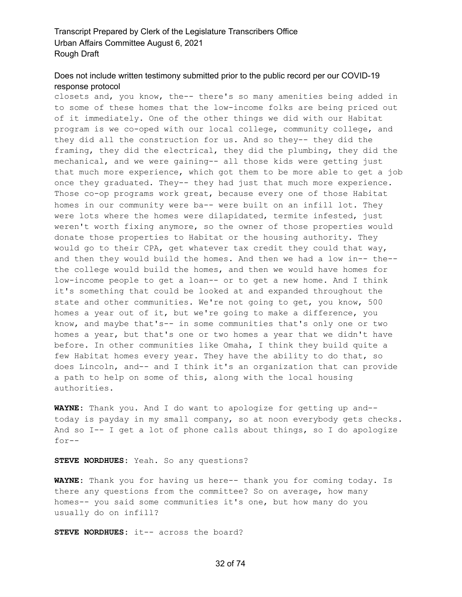## Does not include written testimony submitted prior to the public record per our COVID-19 response protocol

closets and, you know, the-- there's so many amenities being added in to some of these homes that the low-income folks are being priced out of it immediately. One of the other things we did with our Habitat program is we co-oped with our local college, community college, and they did all the construction for us. And so they-- they did the framing, they did the electrical, they did the plumbing, they did the mechanical, and we were gaining-- all those kids were getting just that much more experience, which got them to be more able to get a job once they graduated. They-- they had just that much more experience. Those co-op programs work great, because every one of those Habitat homes in our community were ba-- were built on an infill lot. They were lots where the homes were dilapidated, termite infested, just weren't worth fixing anymore, so the owner of those properties would donate those properties to Habitat or the housing authority. They would go to their CPA, get whatever tax credit they could that way, and then they would build the homes. And then we had a low in-- the- the college would build the homes, and then we would have homes for low-income people to get a loan-- or to get a new home. And I think it's something that could be looked at and expanded throughout the state and other communities. We're not going to get, you know, 500 homes a year out of it, but we're going to make a difference, you know, and maybe that's-- in some communities that's only one or two homes a year, but that's one or two homes a year that we didn't have before. In other communities like Omaha, I think they build quite a few Habitat homes every year. They have the ability to do that, so does Lincoln, and-- and I think it's an organization that can provide a path to help on some of this, along with the local housing authorities.

**WAYNE:** Thank you. And I do want to apologize for getting up and- today is payday in my small company, so at noon everybody gets checks. And so I-- I get a lot of phone calls about things, so I do apologize for--

**STEVE NORDHUES:** Yeah. So any questions?

**WAYNE:** Thank you for having us here-- thank you for coming today. Is there any questions from the committee? So on average, how many homes-- you said some communities it's one, but how many do you usually do on infill?

**STEVE NORDHUES:** it-- across the board?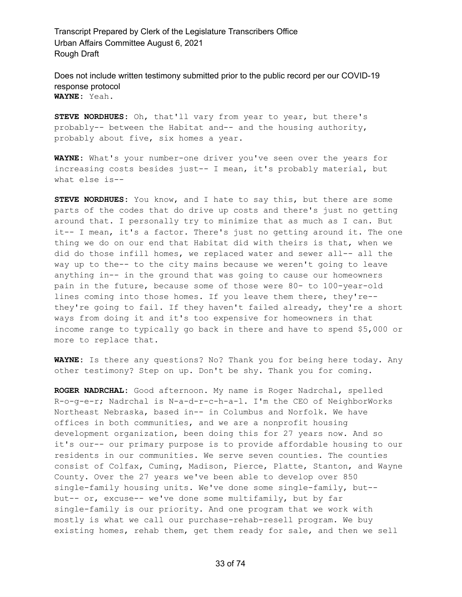Does not include written testimony submitted prior to the public record per our COVID-19 response protocol **WAYNE:** Yeah.

**STEVE NORDHUES:** Oh, that'll vary from year to year, but there's probably-- between the Habitat and-- and the housing authority, probably about five, six homes a year.

**WAYNE:** What's your number-one driver you've seen over the years for increasing costs besides just-- I mean, it's probably material, but what else is--

**STEVE NORDHUES:** You know, and I hate to say this, but there are some parts of the codes that do drive up costs and there's just no getting around that. I personally try to minimize that as much as I can. But it-- I mean, it's a factor. There's just no getting around it. The one thing we do on our end that Habitat did with theirs is that, when we did do those infill homes, we replaced water and sewer all-- all the way up to the-- to the city mains because we weren't going to leave anything in-- in the ground that was going to cause our homeowners pain in the future, because some of those were 80- to 100-year-old lines coming into those homes. If you leave them there, they're- they're going to fail. If they haven't failed already, they're a short ways from doing it and it's too expensive for homeowners in that income range to typically go back in there and have to spend \$5,000 or more to replace that.

**WAYNE:** Is there any questions? No? Thank you for being here today. Any other testimony? Step on up. Don't be shy. Thank you for coming.

**ROGER NADRCHAL:** Good afternoon. My name is Roger Nadrchal, spelled R-o-g-e-r; Nadrchal is N-a-d-r-c-h-a-l. I'm the CEO of NeighborWorks Northeast Nebraska, based in-- in Columbus and Norfolk. We have offices in both communities, and we are a nonprofit housing development organization, been doing this for 27 years now. And so it's our-- our primary purpose is to provide affordable housing to our residents in our communities. We serve seven counties. The counties consist of Colfax, Cuming, Madison, Pierce, Platte, Stanton, and Wayne County. Over the 27 years we've been able to develop over 850 single-family housing units. We've done some single-family, but- but-- or, excuse-- we've done some multifamily, but by far single-family is our priority. And one program that we work with mostly is what we call our purchase-rehab-resell program. We buy existing homes, rehab them, get them ready for sale, and then we sell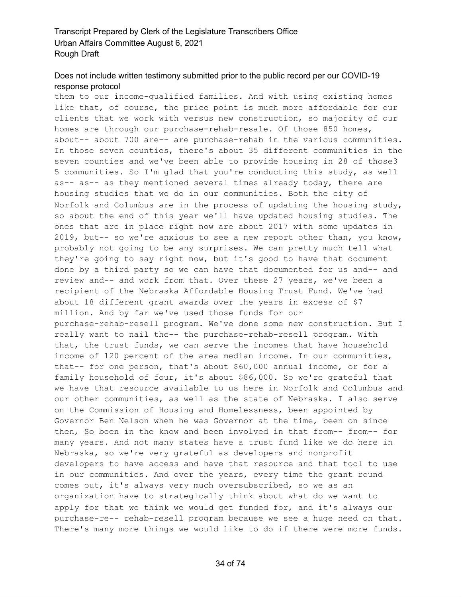#### Does not include written testimony submitted prior to the public record per our COVID-19 response protocol

them to our income-qualified families. And with using existing homes like that, of course, the price point is much more affordable for our clients that we work with versus new construction, so majority of our homes are through our purchase-rehab-resale. Of those 850 homes, about-- about 700 are-- are purchase-rehab in the various communities. In those seven counties, there's about 35 different communities in the seven counties and we've been able to provide housing in 28 of those3 5 communities. So I'm glad that you're conducting this study, as well as-- as-- as they mentioned several times already today, there are housing studies that we do in our communities. Both the city of Norfolk and Columbus are in the process of updating the housing study, so about the end of this year we'll have updated housing studies. The ones that are in place right now are about 2017 with some updates in 2019, but-- so we're anxious to see a new report other than, you know, probably not going to be any surprises. We can pretty much tell what they're going to say right now, but it's good to have that document done by a third party so we can have that documented for us and-- and review and-- and work from that. Over these 27 years, we've been a recipient of the Nebraska Affordable Housing Trust Fund. We've had about 18 different grant awards over the years in excess of \$7 million. And by far we've used those funds for our purchase-rehab-resell program. We've done some new construction. But I really want to nail the-- the purchase-rehab-resell program. With that, the trust funds, we can serve the incomes that have household income of 120 percent of the area median income. In our communities, that-- for one person, that's about \$60,000 annual income, or for a family household of four, it's about \$86,000. So we're grateful that we have that resource available to us here in Norfolk and Columbus and our other communities, as well as the state of Nebraska. I also serve on the Commission of Housing and Homelessness, been appointed by Governor Ben Nelson when he was Governor at the time, been on since then, So been in the know and been involved in that from-- from-- for many years. And not many states have a trust fund like we do here in Nebraska, so we're very grateful as developers and nonprofit developers to have access and have that resource and that tool to use in our communities. And over the years, every time the grant round comes out, it's always very much oversubscribed, so we as an organization have to strategically think about what do we want to apply for that we think we would get funded for, and it's always our purchase-re-- rehab-resell program because we see a huge need on that. There's many more things we would like to do if there were more funds.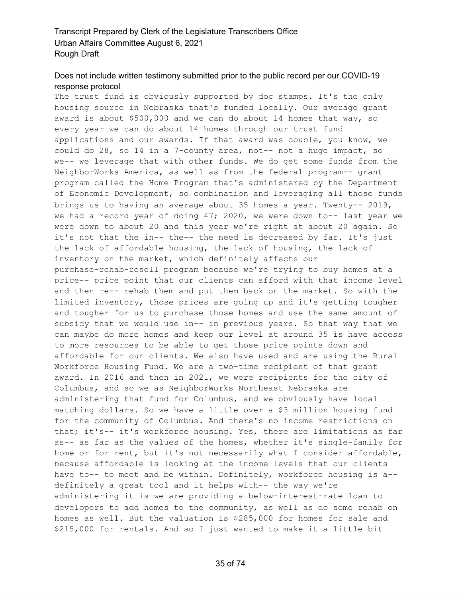# Does not include written testimony submitted prior to the public record per our COVID-19 response protocol

The trust fund is obviously supported by doc stamps. It's the only housing source in Nebraska that's funded locally. Our average grant award is about \$500,000 and we can do about 14 homes that way, so every year we can do about 14 homes through our trust fund applications and our awards. If that award was double, you know, we could do 28, so 14 in a 7-county area, not-- not a huge impact, so we-- we leverage that with other funds. We do get some funds from the NeighborWorks America, as well as from the federal program-- grant program called the Home Program that's administered by the Department of Economic Development, so combination and leveraging all those funds brings us to having an average about 35 homes a year. Twenty-- 2019, we had a record year of doing 47; 2020, we were down to-- last year we were down to about 20 and this year we're right at about 20 again. So it's not that the in-- the-- the need is decreased by far. It's just the lack of affordable housing, the lack of housing, the lack of inventory on the market, which definitely affects our purchase-rehab-resell program because we're trying to buy homes at a price-- price point that our clients can afford with that income level and then re-- rehab them and put them back on the market. So with the limited inventory, those prices are going up and it's getting tougher and tougher for us to purchase those homes and use the same amount of subsidy that we would use in-- in previous years. So that way that we can maybe do more homes and keep our level at around 35 is have access to more resources to be able to get those price points down and affordable for our clients. We also have used and are using the Rural Workforce Housing Fund. We are a two-time recipient of that grant award. In 2016 and then in 2021, we were recipients for the city of Columbus, and so we as NeighborWorks Northeast Nebraska are administering that fund for Columbus, and we obviously have local matching dollars. So we have a little over a \$3 million housing fund for the community of Columbus. And there's no income restrictions on that; it's-- it's workforce housing. Yes, there are limitations as far as-- as far as the values of the homes, whether it's single-family for home or for rent, but it's not necessarily what I consider affordable, because affordable is looking at the income levels that our clients have to-- to meet and be within. Definitely, workforce housing is a-definitely a great tool and it helps with-- the way we're administering it is we are providing a below-interest-rate loan to developers to add homes to the community, as well as do some rehab on homes as well. But the valuation is \$285,000 for homes for sale and \$215,000 for rentals. And so I just wanted to make it a little bit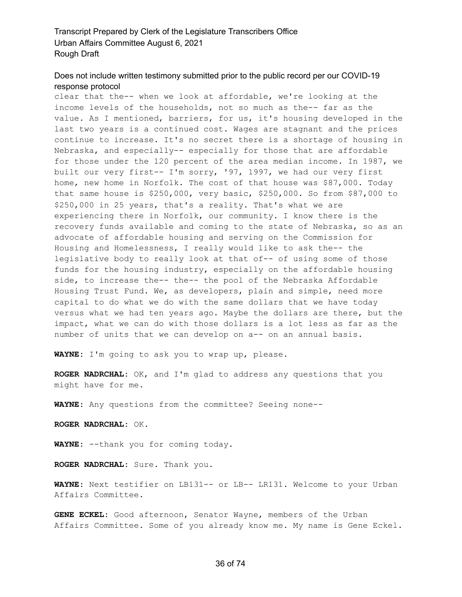#### Does not include written testimony submitted prior to the public record per our COVID-19 response protocol

clear that the-- when we look at affordable, we're looking at the income levels of the households, not so much as the-- far as the value. As I mentioned, barriers, for us, it's housing developed in the last two years is a continued cost. Wages are stagnant and the prices continue to increase. It's no secret there is a shortage of housing in Nebraska, and especially-- especially for those that are affordable for those under the 120 percent of the area median income. In 1987, we built our very first-- I'm sorry, '97, 1997, we had our very first home, new home in Norfolk. The cost of that house was \$87,000. Today that same house is \$250,000, very basic, \$250,000. So from \$87,000 to \$250,000 in 25 years, that's a reality. That's what we are experiencing there in Norfolk, our community. I know there is the recovery funds available and coming to the state of Nebraska, so as an advocate of affordable housing and serving on the Commission for Housing and Homelessness, I really would like to ask the-- the legislative body to really look at that of-- of using some of those funds for the housing industry, especially on the affordable housing side, to increase the-- the-- the pool of the Nebraska Affordable Housing Trust Fund. We, as developers, plain and simple, need more capital to do what we do with the same dollars that we have today versus what we had ten years ago. Maybe the dollars are there, but the impact, what we can do with those dollars is a lot less as far as the number of units that we can develop on a-- on an annual basis.

**WAYNE:** I'm going to ask you to wrap up, please.

**ROGER NADRCHAL:** OK, and I'm glad to address any questions that you might have for me.

**WAYNE:** Any questions from the committee? Seeing none--

**ROGER NADRCHAL:** OK.

**WAYNE:** --thank you for coming today.

**ROGER NADRCHAL:** Sure. Thank you.

**WAYNE:** Next testifier on LB131-- or LB-- LR131. Welcome to your Urban Affairs Committee.

**GENE ECKEL:** Good afternoon, Senator Wayne, members of the Urban Affairs Committee. Some of you already know me. My name is Gene Eckel.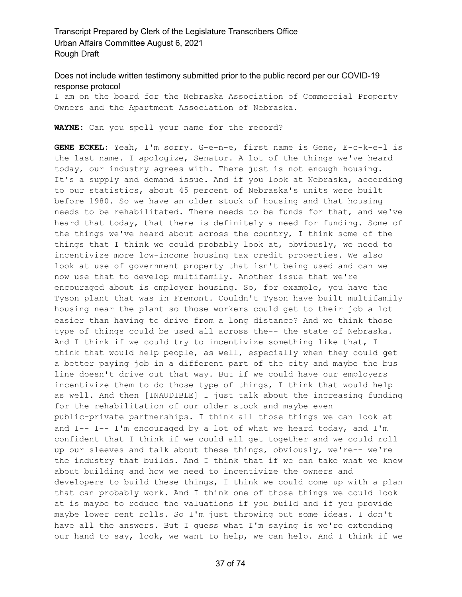#### Does not include written testimony submitted prior to the public record per our COVID-19 response protocol

I am on the board for the Nebraska Association of Commercial Property Owners and the Apartment Association of Nebraska.

**WAYNE:** Can you spell your name for the record?

**GENE ECKEL:** Yeah, I'm sorry. G-e-n-e, first name is Gene, E-c-k-e-l is the last name. I apologize, Senator. A lot of the things we've heard today, our industry agrees with. There just is not enough housing. It's a supply and demand issue. And if you look at Nebraska, according to our statistics, about 45 percent of Nebraska's units were built before 1980. So we have an older stock of housing and that housing needs to be rehabilitated. There needs to be funds for that, and we've heard that today, that there is definitely a need for funding. Some of the things we've heard about across the country, I think some of the things that I think we could probably look at, obviously, we need to incentivize more low-income housing tax credit properties. We also look at use of government property that isn't being used and can we now use that to develop multifamily. Another issue that we're encouraged about is employer housing. So, for example, you have the Tyson plant that was in Fremont. Couldn't Tyson have built multifamily housing near the plant so those workers could get to their job a lot easier than having to drive from a long distance? And we think those type of things could be used all across the-- the state of Nebraska. And I think if we could try to incentivize something like that, I think that would help people, as well, especially when they could get a better paying job in a different part of the city and maybe the bus line doesn't drive out that way. But if we could have our employers incentivize them to do those type of things, I think that would help as well. And then [INAUDIBLE] I just talk about the increasing funding for the rehabilitation of our older stock and maybe even public-private partnerships. I think all those things we can look at and  $I-- I-- I'm$  encouraged by a lot of what we heard today, and  $I'm$ confident that I think if we could all get together and we could roll up our sleeves and talk about these things, obviously, we're-- we're the industry that builds. And I think that if we can take what we know about building and how we need to incentivize the owners and developers to build these things, I think we could come up with a plan that can probably work. And I think one of those things we could look at is maybe to reduce the valuations if you build and if you provide maybe lower rent rolls. So I'm just throwing out some ideas. I don't have all the answers. But I guess what I'm saying is we're extending our hand to say, look, we want to help, we can help. And I think if we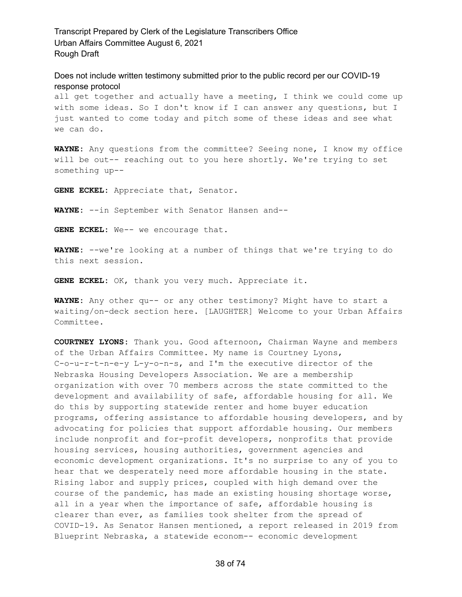Does not include written testimony submitted prior to the public record per our COVID-19 response protocol

all get together and actually have a meeting, I think we could come up with some ideas. So I don't know if I can answer any questions, but I just wanted to come today and pitch some of these ideas and see what we can do.

**WAYNE:** Any questions from the committee? Seeing none, I know my office will be out-- reaching out to you here shortly. We're trying to set something up--

**GENE ECKEL:** Appreciate that, Senator.

**WAYNE:** --in September with Senator Hansen and--

**GENE ECKEL:** We-- we encourage that.

**WAYNE:** --we're looking at a number of things that we're trying to do this next session.

**GENE ECKEL:** OK, thank you very much. Appreciate it.

**WAYNE:** Any other qu-- or any other testimony? Might have to start a waiting/on-deck section here. [LAUGHTER] Welcome to your Urban Affairs Committee.

**COURTNEY LYONS:** Thank you. Good afternoon, Chairman Wayne and members of the Urban Affairs Committee. My name is Courtney Lyons, C-o-u-r-t-n-e-y L-y-o-n-s, and I'm the executive director of the Nebraska Housing Developers Association. We are a membership organization with over 70 members across the state committed to the development and availability of safe, affordable housing for all. We do this by supporting statewide renter and home buyer education programs, offering assistance to affordable housing developers, and by advocating for policies that support affordable housing. Our members include nonprofit and for-profit developers, nonprofits that provide housing services, housing authorities, government agencies and economic development organizations. It's no surprise to any of you to hear that we desperately need more affordable housing in the state. Rising labor and supply prices, coupled with high demand over the course of the pandemic, has made an existing housing shortage worse, all in a year when the importance of safe, affordable housing is clearer than ever, as families took shelter from the spread of COVID-19. As Senator Hansen mentioned, a report released in 2019 from Blueprint Nebraska, a statewide econom-- economic development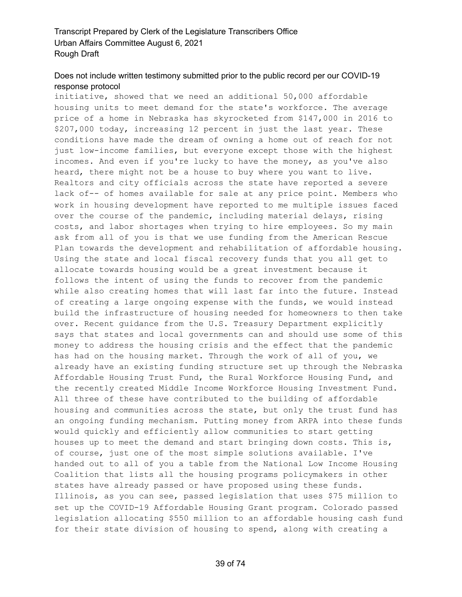# Does not include written testimony submitted prior to the public record per our COVID-19 response protocol

initiative, showed that we need an additional 50,000 affordable housing units to meet demand for the state's workforce. The average price of a home in Nebraska has skyrocketed from \$147,000 in 2016 to \$207,000 today, increasing 12 percent in just the last year. These conditions have made the dream of owning a home out of reach for not just low-income families, but everyone except those with the highest incomes. And even if you're lucky to have the money, as you've also heard, there might not be a house to buy where you want to live. Realtors and city officials across the state have reported a severe lack of-- of homes available for sale at any price point. Members who work in housing development have reported to me multiple issues faced over the course of the pandemic, including material delays, rising costs, and labor shortages when trying to hire employees. So my main ask from all of you is that we use funding from the American Rescue Plan towards the development and rehabilitation of affordable housing. Using the state and local fiscal recovery funds that you all get to allocate towards housing would be a great investment because it follows the intent of using the funds to recover from the pandemic while also creating homes that will last far into the future. Instead of creating a large ongoing expense with the funds, we would instead build the infrastructure of housing needed for homeowners to then take over. Recent guidance from the U.S. Treasury Department explicitly says that states and local governments can and should use some of this money to address the housing crisis and the effect that the pandemic has had on the housing market. Through the work of all of you, we already have an existing funding structure set up through the Nebraska Affordable Housing Trust Fund, the Rural Workforce Housing Fund, and the recently created Middle Income Workforce Housing Investment Fund. All three of these have contributed to the building of affordable housing and communities across the state, but only the trust fund has an ongoing funding mechanism. Putting money from ARPA into these funds would quickly and efficiently allow communities to start getting houses up to meet the demand and start bringing down costs. This is, of course, just one of the most simple solutions available. I've handed out to all of you a table from the National Low Income Housing Coalition that lists all the housing programs policymakers in other states have already passed or have proposed using these funds. Illinois, as you can see, passed legislation that uses \$75 million to set up the COVID-19 Affordable Housing Grant program. Colorado passed legislation allocating \$550 million to an affordable housing cash fund for their state division of housing to spend, along with creating a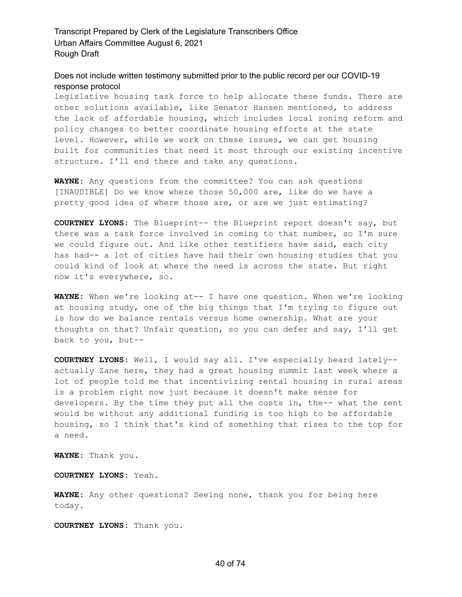Does not include written testimony submitted prior to the public record per our COVID-19 response protocol

legislative housing task force to help allocate these funds. There are other solutions available, like Senator Hansen mentioned, to address the lack of affordable housing, which includes local zoning reform and policy changes to better coordinate housing efforts at the state level. However, while we work on these issues, we can get housing built for communities that need it most through our existing incentive structure. I'll end there and take any questions.

**WAYNE:** Any questions from the committee? You can ask questions [INAUDIBLE] Do we know where those 50,000 are, like do we have a pretty good idea of where those are, or are we just estimating?

**COURTNEY LYONS:** The Blueprint-- the Blueprint report doesn't say, but there was a task force involved in coming to that number, so I'm sure we could figure out. And like other testifiers have said, each city has had-- a lot of cities have had their own housing studies that you could kind of look at where the need is across the state. But right now it's everywhere, so.

**WAYNE:** When we're looking at-- I have one question. When we're looking at housing study, one of the big things that I'm trying to figure out is how do we balance rentals versus home ownership. What are your thoughts on that? Unfair question, so you can defer and say, I'll get back to you, but--

**COURTNEY LYONS:** Well, I would say all. I've especially heard lately- actually Zane here, they had a great housing summit last week where a lot of people told me that incentivizing rental housing in rural areas is a problem right now just because it doesn't make sense for developers. By the time they put all the costs in, the-- what the rent would be without any additional funding is too high to be affordable housing, so I think that's kind of something that rises to the top for a need.

**WAYNE:** Thank you.

**COURTNEY LYONS:** Yeah.

**WAYNE:** Any other questions? Seeing none, thank you for being here today.

**COURTNEY LYONS:** Thank you.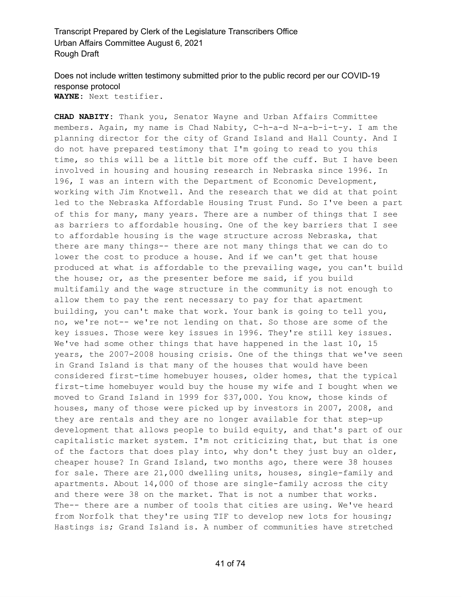#### Does not include written testimony submitted prior to the public record per our COVID-19 response protocol **WAYNE:** Next testifier.

**CHAD NABITY:** Thank you, Senator Wayne and Urban Affairs Committee members. Again, my name is Chad Nabity, C-h-a-d N-a-b-i-t-y. I am the planning director for the city of Grand Island and Hall County. And I do not have prepared testimony that I'm going to read to you this time, so this will be a little bit more off the cuff. But I have been involved in housing and housing research in Nebraska since 1996. In 196, I was an intern with the Department of Economic Development, working with Jim Knotwell. And the research that we did at that point led to the Nebraska Affordable Housing Trust Fund. So I've been a part of this for many, many years. There are a number of things that I see as barriers to affordable housing. One of the key barriers that I see to affordable housing is the wage structure across Nebraska, that there are many things-- there are not many things that we can do to lower the cost to produce a house. And if we can't get that house produced at what is affordable to the prevailing wage, you can't build the house; or, as the presenter before me said, if you build multifamily and the wage structure in the community is not enough to allow them to pay the rent necessary to pay for that apartment building, you can't make that work. Your bank is going to tell you, no, we're not-- we're not lending on that. So those are some of the key issues. Those were key issues in 1996. They're still key issues. We've had some other things that have happened in the last 10, 15 years, the 2007-2008 housing crisis. One of the things that we've seen in Grand Island is that many of the houses that would have been considered first-time homebuyer houses, older homes, that the typical first-time homebuyer would buy the house my wife and I bought when we moved to Grand Island in 1999 for \$37,000. You know, those kinds of houses, many of those were picked up by investors in 2007, 2008, and they are rentals and they are no longer available for that step-up development that allows people to build equity, and that's part of our capitalistic market system. I'm not criticizing that, but that is one of the factors that does play into, why don't they just buy an older, cheaper house? In Grand Island, two months ago, there were 38 houses for sale. There are 21,000 dwelling units, houses, single-family and apartments. About 14,000 of those are single-family across the city and there were 38 on the market. That is not a number that works. The-- there are a number of tools that cities are using. We've heard from Norfolk that they're using TIF to develop new lots for housing; Hastings is; Grand Island is. A number of communities have stretched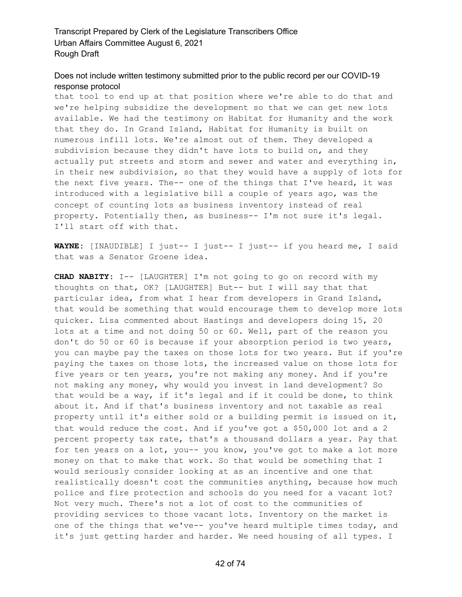#### Does not include written testimony submitted prior to the public record per our COVID-19 response protocol

that tool to end up at that position where we're able to do that and we're helping subsidize the development so that we can get new lots available. We had the testimony on Habitat for Humanity and the work that they do. In Grand Island, Habitat for Humanity is built on numerous infill lots. We're almost out of them. They developed a subdivision because they didn't have lots to build on, and they actually put streets and storm and sewer and water and everything in, in their new subdivision, so that they would have a supply of lots for the next five years. The-- one of the things that I've heard, it was introduced with a legislative bill a couple of years ago, was the concept of counting lots as business inventory instead of real property. Potentially then, as business-- I'm not sure it's legal. I'll start off with that.

**WAYNE:** [INAUDIBLE] I just-- I just-- I just-- if you heard me, I said that was a Senator Groene idea.

**CHAD NABITY:** I-- [LAUGHTER] I'm not going to go on record with my thoughts on that, OK? [LAUGHTER] But-- but I will say that that particular idea, from what I hear from developers in Grand Island, that would be something that would encourage them to develop more lots quicker. Lisa commented about Hastings and developers doing 15, 20 lots at a time and not doing 50 or 60. Well, part of the reason you don't do 50 or 60 is because if your absorption period is two years, you can maybe pay the taxes on those lots for two years. But if you're paying the taxes on those lots, the increased value on those lots for five years or ten years, you're not making any money. And if you're not making any money, why would you invest in land development? So that would be a way, if it's legal and if it could be done, to think about it. And if that's business inventory and not taxable as real property until it's either sold or a building permit is issued on it, that would reduce the cost. And if you've got a \$50,000 lot and a 2 percent property tax rate, that's a thousand dollars a year. Pay that for ten years on a lot, you-- you know, you've got to make a lot more money on that to make that work. So that would be something that I would seriously consider looking at as an incentive and one that realistically doesn't cost the communities anything, because how much police and fire protection and schools do you need for a vacant lot? Not very much. There's not a lot of cost to the communities of providing services to those vacant lots. Inventory on the market is one of the things that we've-- you've heard multiple times today, and it's just getting harder and harder. We need housing of all types. I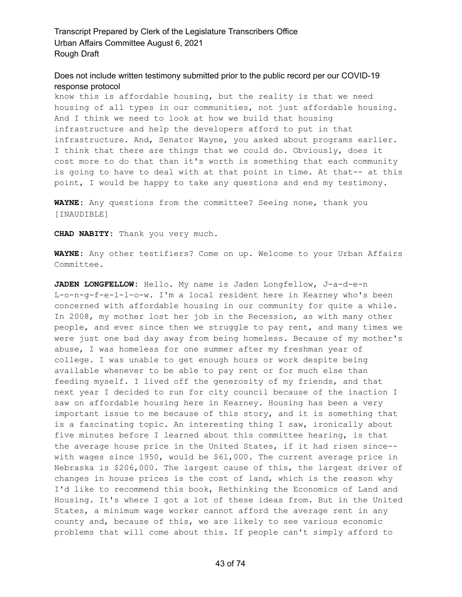Does not include written testimony submitted prior to the public record per our COVID-19 response protocol

know this is affordable housing, but the reality is that we need housing of all types in our communities, not just affordable housing. And I think we need to look at how we build that housing infrastructure and help the developers afford to put in that infrastructure. And, Senator Wayne, you asked about programs earlier. I think that there are things that we could do. Obviously, does it cost more to do that than it's worth is something that each community is going to have to deal with at that point in time. At that-- at this point, I would be happy to take any questions and end my testimony.

**WAYNE:** Any questions from the committee? Seeing none, thank you [INAUDIBLE]

**CHAD NABITY:** Thank you very much.

**WAYNE:** Any other testifiers? Come on up. Welcome to your Urban Affairs Committee.

**JADEN LONGFELLOW:** Hello. My name is Jaden Longfellow, J-a-d-e-n L-o-n-g-f-e-l-l-o-w. I'm a local resident here in Kearney who's been concerned with affordable housing in our community for quite a while. In 2008, my mother lost her job in the Recession, as with many other people, and ever since then we struggle to pay rent, and many times we were just one bad day away from being homeless. Because of my mother's abuse, I was homeless for one summer after my freshman year of college. I was unable to get enough hours or work despite being available whenever to be able to pay rent or for much else than feeding myself. I lived off the generosity of my friends, and that next year I decided to run for city council because of the inaction I saw on affordable housing here in Kearney. Housing has been a very important issue to me because of this story, and it is something that is a fascinating topic. An interesting thing I saw, ironically about five minutes before I learned about this committee hearing, is that the average house price in the United States, if it had risen since- with wages since 1950, would be \$61,000. The current average price in Nebraska is \$206,000. The largest cause of this, the largest driver of changes in house prices is the cost of land, which is the reason why I'd like to recommend this book, Rethinking the Economics of Land and Housing. It's where I got a lot of these ideas from. But in the United States, a minimum wage worker cannot afford the average rent in any county and, because of this, we are likely to see various economic problems that will come about this. If people can't simply afford to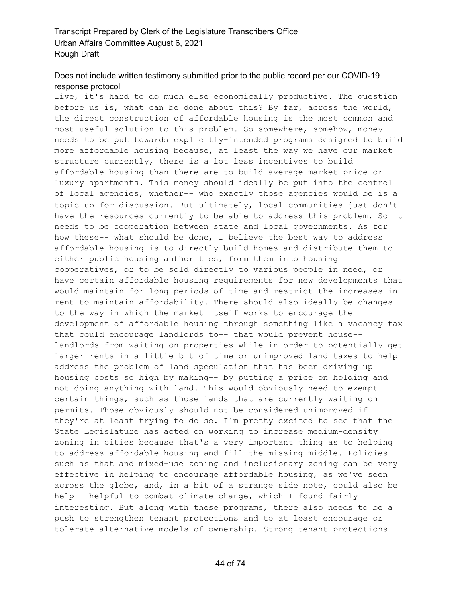# Does not include written testimony submitted prior to the public record per our COVID-19 response protocol

live, it's hard to do much else economically productive. The question before us is, what can be done about this? By far, across the world, the direct construction of affordable housing is the most common and most useful solution to this problem. So somewhere, somehow, money needs to be put towards explicitly-intended programs designed to build more affordable housing because, at least the way we have our market structure currently, there is a lot less incentives to build affordable housing than there are to build average market price or luxury apartments. This money should ideally be put into the control of local agencies, whether-- who exactly those agencies would be is a topic up for discussion. But ultimately, local communities just don't have the resources currently to be able to address this problem. So it needs to be cooperation between state and local governments. As for how these-- what should be done, I believe the best way to address affordable housing is to directly build homes and distribute them to either public housing authorities, form them into housing cooperatives, or to be sold directly to various people in need, or have certain affordable housing requirements for new developments that would maintain for long periods of time and restrict the increases in rent to maintain affordability. There should also ideally be changes to the way in which the market itself works to encourage the development of affordable housing through something like a vacancy tax that could encourage landlords to-- that would prevent house- landlords from waiting on properties while in order to potentially get larger rents in a little bit of time or unimproved land taxes to help address the problem of land speculation that has been driving up housing costs so high by making-- by putting a price on holding and not doing anything with land. This would obviously need to exempt certain things, such as those lands that are currently waiting on permits. Those obviously should not be considered unimproved if they're at least trying to do so. I'm pretty excited to see that the State Legislature has acted on working to increase medium-density zoning in cities because that's a very important thing as to helping to address affordable housing and fill the missing middle. Policies such as that and mixed-use zoning and inclusionary zoning can be very effective in helping to encourage affordable housing, as we've seen across the globe, and, in a bit of a strange side note, could also be help-- helpful to combat climate change, which I found fairly interesting. But along with these programs, there also needs to be a push to strengthen tenant protections and to at least encourage or tolerate alternative models of ownership. Strong tenant protections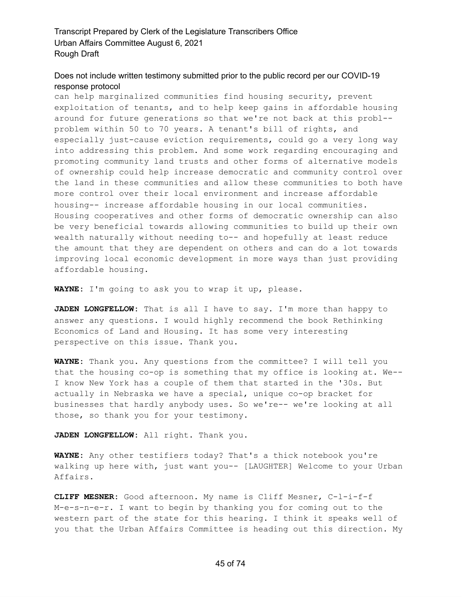#### Does not include written testimony submitted prior to the public record per our COVID-19 response protocol

can help marginalized communities find housing security, prevent exploitation of tenants, and to help keep gains in affordable housing around for future generations so that we're not back at this probl- problem within 50 to 70 years. A tenant's bill of rights, and especially just-cause eviction requirements, could go a very long way into addressing this problem. And some work regarding encouraging and promoting community land trusts and other forms of alternative models of ownership could help increase democratic and community control over the land in these communities and allow these communities to both have more control over their local environment and increase affordable housing-- increase affordable housing in our local communities. Housing cooperatives and other forms of democratic ownership can also be very beneficial towards allowing communities to build up their own wealth naturally without needing to-- and hopefully at least reduce the amount that they are dependent on others and can do a lot towards improving local economic development in more ways than just providing affordable housing.

**WAYNE:** I'm going to ask you to wrap it up, please.

**JADEN LONGFELLOW:** That is all I have to say. I'm more than happy to answer any questions. I would highly recommend the book Rethinking Economics of Land and Housing. It has some very interesting perspective on this issue. Thank you.

**WAYNE:** Thank you. Any questions from the committee? I will tell you that the housing co-op is something that my office is looking at. We-- I know New York has a couple of them that started in the '30s. But actually in Nebraska we have a special, unique co-op bracket for businesses that hardly anybody uses. So we're-- we're looking at all those, so thank you for your testimony.

**JADEN LONGFELLOW:** All right. Thank you.

**WAYNE:** Any other testifiers today? That's a thick notebook you're walking up here with, just want you-- [LAUGHTER] Welcome to your Urban Affairs.

**CLIFF MESNER:** Good afternoon. My name is Cliff Mesner, C-l-i-f-f M-e-s-n-e-r. I want to begin by thanking you for coming out to the western part of the state for this hearing. I think it speaks well of you that the Urban Affairs Committee is heading out this direction. My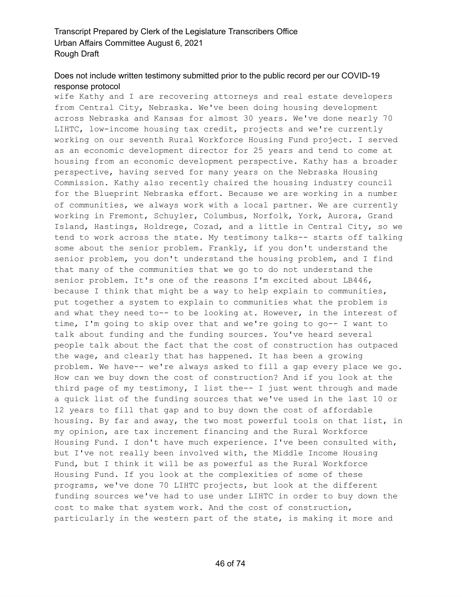# Does not include written testimony submitted prior to the public record per our COVID-19 response protocol

wife Kathy and I are recovering attorneys and real estate developers from Central City, Nebraska. We've been doing housing development across Nebraska and Kansas for almost 30 years. We've done nearly 70 LIHTC, low-income housing tax credit, projects and we're currently working on our seventh Rural Workforce Housing Fund project. I served as an economic development director for 25 years and tend to come at housing from an economic development perspective. Kathy has a broader perspective, having served for many years on the Nebraska Housing Commission. Kathy also recently chaired the housing industry council for the Blueprint Nebraska effort. Because we are working in a number of communities, we always work with a local partner. We are currently working in Fremont, Schuyler, Columbus, Norfolk, York, Aurora, Grand Island, Hastings, Holdrege, Cozad, and a little in Central City, so we tend to work across the state. My testimony talks-- starts off talking some about the senior problem. Frankly, if you don't understand the senior problem, you don't understand the housing problem, and I find that many of the communities that we go to do not understand the senior problem. It's one of the reasons I'm excited about LB446, because I think that might be a way to help explain to communities, put together a system to explain to communities what the problem is and what they need to-- to be looking at. However, in the interest of time, I'm going to skip over that and we're going to go-- I want to talk about funding and the funding sources. You've heard several people talk about the fact that the cost of construction has outpaced the wage, and clearly that has happened. It has been a growing problem. We have-- we're always asked to fill a gap every place we go. How can we buy down the cost of construction? And if you look at the third page of my testimony, I list the-- I just went through and made a quick list of the funding sources that we've used in the last 10 or 12 years to fill that gap and to buy down the cost of affordable housing. By far and away, the two most powerful tools on that list, in my opinion, are tax increment financing and the Rural Workforce Housing Fund. I don't have much experience. I've been consulted with, but I've not really been involved with, the Middle Income Housing Fund, but I think it will be as powerful as the Rural Workforce Housing Fund. If you look at the complexities of some of these programs, we've done 70 LIHTC projects, but look at the different funding sources we've had to use under LIHTC in order to buy down the cost to make that system work. And the cost of construction, particularly in the western part of the state, is making it more and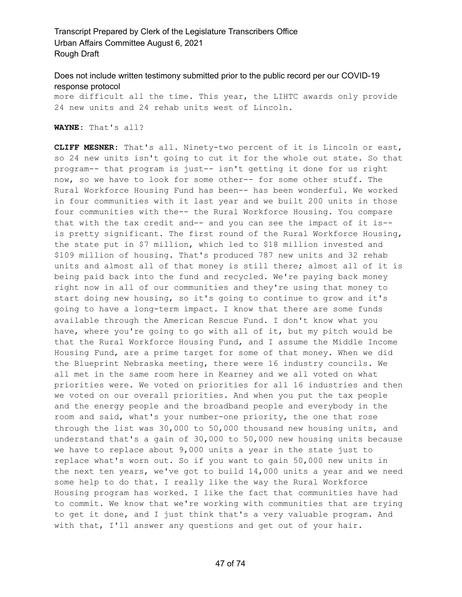# Does not include written testimony submitted prior to the public record per our COVID-19 response protocol

more difficult all the time. This year, the LIHTC awards only provide 24 new units and 24 rehab units west of Lincoln.

**WAYNE:** That's all?

**CLIFF MESNER:** That's all. Ninety-two percent of it is Lincoln or east, so 24 new units isn't going to cut it for the whole out state. So that program-- that program is just-- isn't getting it done for us right now, so we have to look for some other-- for some other stuff. The Rural Workforce Housing Fund has been-- has been wonderful. We worked in four communities with it last year and we built 200 units in those four communities with the-- the Rural Workforce Housing. You compare that with the tax credit and-- and you can see the impact of it is- is pretty significant. The first round of the Rural Workforce Housing, the state put in \$7 million, which led to \$18 million invested and \$109 million of housing. That's produced 787 new units and 32 rehab units and almost all of that money is still there; almost all of it is being paid back into the fund and recycled. We're paying back money right now in all of our communities and they're using that money to start doing new housing, so it's going to continue to grow and it's going to have a long-term impact. I know that there are some funds available through the American Rescue Fund. I don't know what you have, where you're going to go with all of it, but my pitch would be that the Rural Workforce Housing Fund, and I assume the Middle Income Housing Fund, are a prime target for some of that money. When we did the Blueprint Nebraska meeting, there were 16 industry councils. We all met in the same room here in Kearney and we all voted on what priorities were. We voted on priorities for all 16 industries and then we voted on our overall priorities. And when you put the tax people and the energy people and the broadband people and everybody in the room and said, what's your number-one priority, the one that rose through the list was 30,000 to 50,000 thousand new housing units, and understand that's a gain of 30,000 to 50,000 new housing units because we have to replace about 9,000 units a year in the state just to replace what's worn out. So if you want to gain 50,000 new units in the next ten years, we've got to build 14,000 units a year and we need some help to do that. I really like the way the Rural Workforce Housing program has worked. I like the fact that communities have had to commit. We know that we're working with communities that are trying to get it done, and I just think that's a very valuable program. And with that, I'll answer any questions and get out of your hair.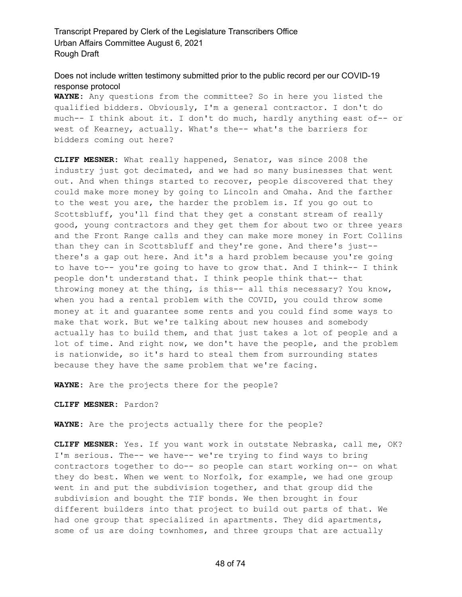Does not include written testimony submitted prior to the public record per our COVID-19 response protocol

**WAYNE:** Any questions from the committee? So in here you listed the qualified bidders. Obviously, I'm a general contractor. I don't do much-- I think about it. I don't do much, hardly anything east of-- or west of Kearney, actually. What's the-- what's the barriers for bidders coming out here?

**CLIFF MESNER:** What really happened, Senator, was since 2008 the industry just got decimated, and we had so many businesses that went out. And when things started to recover, people discovered that they could make more money by going to Lincoln and Omaha. And the farther to the west you are, the harder the problem is. If you go out to Scottsbluff, you'll find that they get a constant stream of really good, young contractors and they get them for about two or three years and the Front Range calls and they can make more money in Fort Collins than they can in Scottsbluff and they're gone. And there's just- there's a gap out here. And it's a hard problem because you're going to have to-- you're going to have to grow that. And I think-- I think people don't understand that. I think people think that-- that throwing money at the thing, is this-- all this necessary? You know, when you had a rental problem with the COVID, you could throw some money at it and guarantee some rents and you could find some ways to make that work. But we're talking about new houses and somebody actually has to build them, and that just takes a lot of people and a lot of time. And right now, we don't have the people, and the problem is nationwide, so it's hard to steal them from surrounding states because they have the same problem that we're facing.

**WAYNE:** Are the projects there for the people?

**CLIFF MESNER:** Pardon?

**WAYNE:** Are the projects actually there for the people?

**CLIFF MESNER:** Yes. If you want work in outstate Nebraska, call me, OK? I'm serious. The-- we have-- we're trying to find ways to bring contractors together to do-- so people can start working on-- on what they do best. When we went to Norfolk, for example, we had one group went in and put the subdivision together, and that group did the subdivision and bought the TIF bonds. We then brought in four different builders into that project to build out parts of that. We had one group that specialized in apartments. They did apartments, some of us are doing townhomes, and three groups that are actually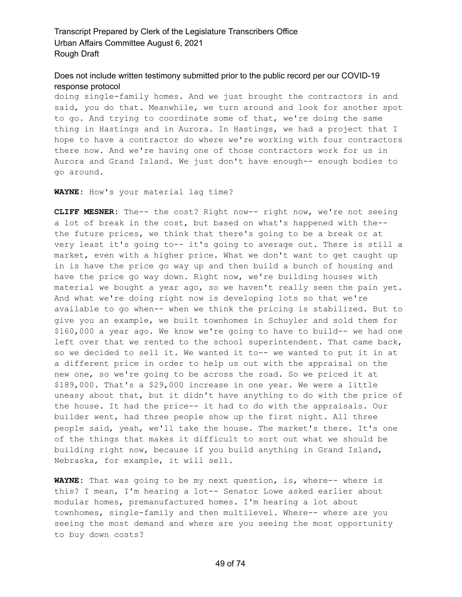#### Does not include written testimony submitted prior to the public record per our COVID-19 response protocol

doing single-family homes. And we just brought the contractors in and said, you do that. Meanwhile, we turn around and look for another spot to go. And trying to coordinate some of that, we're doing the same thing in Hastings and in Aurora. In Hastings, we had a project that I hope to have a contractor do where we're working with four contractors there now. And we're having one of those contractors work for us in Aurora and Grand Island. We just don't have enough-- enough bodies to go around.

**WAYNE:** How's your material lag time?

**CLIFF MESNER:** The-- the cost? Right now-- right now, we're not seeing a lot of break in the cost, but based on what's happened with the- the future prices, we think that there's going to be a break or at very least it's going to-- it's going to average out. There is still a market, even with a higher price. What we don't want to get caught up in is have the price go way up and then build a bunch of housing and have the price go way down. Right now, we're building houses with material we bought a year ago, so we haven't really seen the pain yet. And what we're doing right now is developing lots so that we're available to go when-- when we think the pricing is stabilized. But to give you an example, we built townhomes in Schuyler and sold them for \$160,000 a year ago. We know we're going to have to build-- we had one left over that we rented to the school superintendent. That came back, so we decided to sell it. We wanted it to-- we wanted to put it in at a different price in order to help us out with the appraisal on the new one, so we're going to be across the road. So we priced it at \$189,000. That's a \$29,000 increase in one year. We were a little uneasy about that, but it didn't have anything to do with the price of the house. It had the price-- it had to do with the appraisals. Our builder went, had three people show up the first night. All three people said, yeah, we'll take the house. The market's there. It's one of the things that makes it difficult to sort out what we should be building right now, because if you build anything in Grand Island, Nebraska, for example, it will sell.

**WAYNE:** That was going to be my next question, is, where-- where is this? I mean, I'm hearing a lot-- Senator Lowe asked earlier about modular homes, premanufactured homes. I'm hearing a lot about townhomes, single-family and then multilevel. Where-- where are you seeing the most demand and where are you seeing the most opportunity to buy down costs?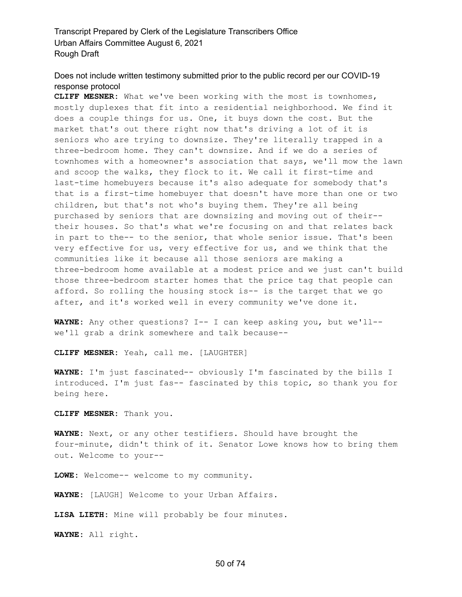# Does not include written testimony submitted prior to the public record per our COVID-19 response protocol

**CLIFF MESNER:** What we've been working with the most is townhomes, mostly duplexes that fit into a residential neighborhood. We find it does a couple things for us. One, it buys down the cost. But the market that's out there right now that's driving a lot of it is seniors who are trying to downsize. They're literally trapped in a three-bedroom home. They can't downsize. And if we do a series of townhomes with a homeowner's association that says, we'll mow the lawn and scoop the walks, they flock to it. We call it first-time and last-time homebuyers because it's also adequate for somebody that's that is a first-time homebuyer that doesn't have more than one or two children, but that's not who's buying them. They're all being purchased by seniors that are downsizing and moving out of their- their houses. So that's what we're focusing on and that relates back in part to the-- to the senior, that whole senior issue. That's been very effective for us, very effective for us, and we think that the communities like it because all those seniors are making a three-bedroom home available at a modest price and we just can't build those three-bedroom starter homes that the price tag that people can afford. So rolling the housing stock is-- is the target that we go after, and it's worked well in every community we've done it.

**WAYNE:** Any other questions? I-- I can keep asking you, but we'll- we'll grab a drink somewhere and talk because--

**CLIFF MESNER:** Yeah, call me. [LAUGHTER]

**WAYNE:** I'm just fascinated-- obviously I'm fascinated by the bills I introduced. I'm just fas-- fascinated by this topic, so thank you for being here.

**CLIFF MESNER:** Thank you.

**WAYNE:** Next, or any other testifiers. Should have brought the four-minute, didn't think of it. Senator Lowe knows how to bring them out. Welcome to your--

**LOWE:** Welcome-- welcome to my community.

**WAYNE:** [LAUGH] Welcome to your Urban Affairs.

**LISA LIETH:** Mine will probably be four minutes.

**WAYNE:** All right.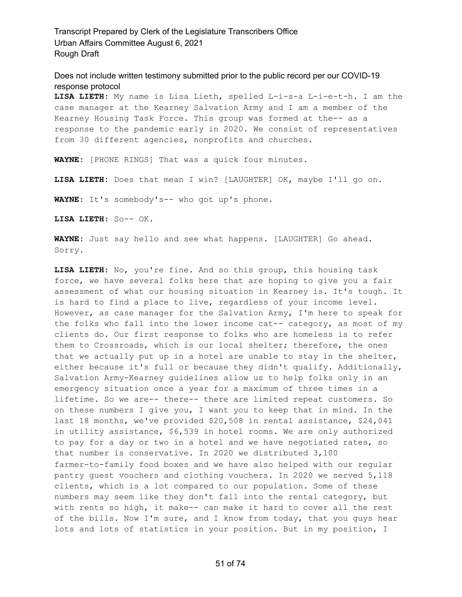Does not include written testimony submitted prior to the public record per our COVID-19 response protocol

**LISA LIETH:** My name is Lisa Lieth, spelled L-i-s-a L-i-e-t-h. I am the case manager at the Kearney Salvation Army and I am a member of the Kearney Housing Task Force. This group was formed at the-- as a response to the pandemic early in 2020. We consist of representatives from 30 different agencies, nonprofits and churches.

**WAYNE:** [PHONE RINGS] That was a quick four minutes.

**LISA LIETH:** Does that mean I win? [LAUGHTER] OK, maybe I'll go on.

**WAYNE:** It's somebody's-- who got up's phone.

**LISA LIETH:** So-- OK.

**WAYNE:** Just say hello and see what happens. [LAUGHTER] Go ahead. Sorry.

**LISA LIETH:** No, you're fine. And so this group, this housing task force, we have several folks here that are hoping to give you a fair assessment of what our housing situation in Kearney is. It's tough. It is hard to find a place to live, regardless of your income level. However, as case manager for the Salvation Army, I'm here to speak for the folks who fall into the lower income cat-- category, as most of my clients do. Our first response to folks who are homeless is to refer them to Crossroads, which is our local shelter; therefore, the ones that we actually put up in a hotel are unable to stay in the shelter, either because it's full or because they didn't qualify. Additionally, Salvation Army-Kearney guidelines allow us to help folks only in an emergency situation once a year for a maximum of three times in a lifetime. So we are-- there-- there are limited repeat customers. So on these numbers I give you, I want you to keep that in mind. In the last 18 months, we've provided \$20,508 in rental assistance, \$24,041 in utility assistance, \$6,539 in hotel rooms. We are only authorized to pay for a day or two in a hotel and we have negotiated rates, so that number is conservative. In 2020 we distributed 3,100 farmer-to-family food boxes and we have also helped with our regular pantry guest vouchers and clothing vouchers. In 2020 we served 5,118 clients, which is a lot compared to our population. Some of these numbers may seem like they don't fall into the rental category, but with rents so high, it make-- can make it hard to cover all the rest of the bills. Now I'm sure, and I know from today, that you guys hear lots and lots of statistics in your position. But in my position, I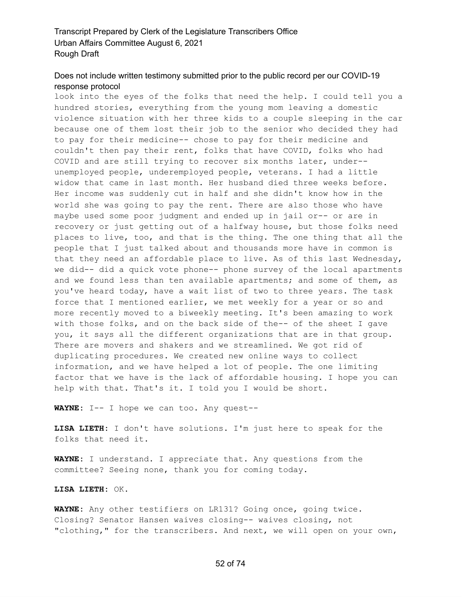#### Does not include written testimony submitted prior to the public record per our COVID-19 response protocol

look into the eyes of the folks that need the help. I could tell you a hundred stories, everything from the young mom leaving a domestic violence situation with her three kids to a couple sleeping in the car because one of them lost their job to the senior who decided they had to pay for their medicine-- chose to pay for their medicine and couldn't then pay their rent, folks that have COVID, folks who had COVID and are still trying to recover six months later, under- unemployed people, underemployed people, veterans. I had a little widow that came in last month. Her husband died three weeks before. Her income was suddenly cut in half and she didn't know how in the world she was going to pay the rent. There are also those who have maybe used some poor judgment and ended up in jail or-- or are in recovery or just getting out of a halfway house, but those folks need places to live, too, and that is the thing. The one thing that all the people that I just talked about and thousands more have in common is that they need an affordable place to live. As of this last Wednesday, we did-- did a quick vote phone-- phone survey of the local apartments and we found less than ten available apartments; and some of them, as you've heard today, have a wait list of two to three years. The task force that I mentioned earlier, we met weekly for a year or so and more recently moved to a biweekly meeting. It's been amazing to work with those folks, and on the back side of the-- of the sheet I gave you, it says all the different organizations that are in that group. There are movers and shakers and we streamlined. We got rid of duplicating procedures. We created new online ways to collect information, and we have helped a lot of people. The one limiting factor that we have is the lack of affordable housing. I hope you can help with that. That's it. I told you I would be short.

**WAYNE:** I-- I hope we can too. Any quest--

**LISA LIETH:** I don't have solutions. I'm just here to speak for the folks that need it.

**WAYNE:** I understand. I appreciate that. Any questions from the committee? Seeing none, thank you for coming today.

**LISA LIETH:** OK.

**WAYNE:** Any other testifiers on LR131? Going once, going twice. Closing? Senator Hansen waives closing-- waives closing, not "clothing," for the transcribers. And next, we will open on your own,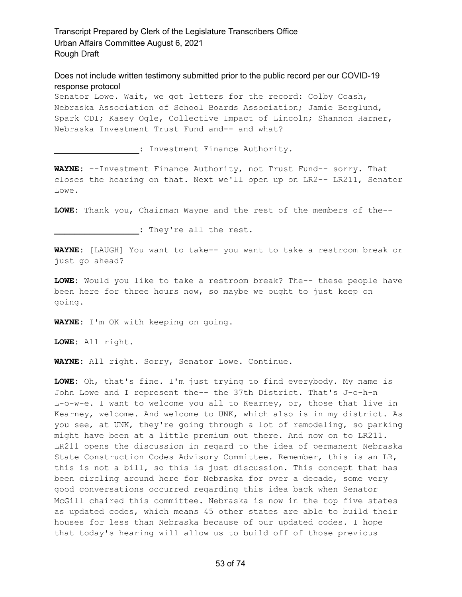Does not include written testimony submitted prior to the public record per our COVID-19 response protocol

Senator Lowe. Wait, we got letters for the record: Colby Coash, Nebraska Association of School Boards Association; Jamie Berglund, Spark CDI; Kasey Ogle, Collective Impact of Lincoln; Shannon Harner, Nebraska Investment Trust Fund and-- and what?

**\_\_\_\_\_\_\_\_\_\_\_\_\_\_\_\_\_:** Investment Finance Authority.

**WAYNE:** --Investment Finance Authority, not Trust Fund-- sorry. That closes the hearing on that. Next we'll open up on LR2-- LR211, Senator Lowe.

LOWE: Thank you, Chairman Wayne and the rest of the members of the--

**\_\_\_\_\_\_\_\_\_\_\_\_\_\_\_\_\_:** They're all the rest.

**WAYNE:** [LAUGH] You want to take-- you want to take a restroom break or just go ahead?

**LOWE:** Would you like to take a restroom break? The-- these people have been here for three hours now, so maybe we ought to just keep on going.

**WAYNE:** I'm OK with keeping on going.

**LOWE:** All right.

**WAYNE:** All right. Sorry, Senator Lowe. Continue.

**LOWE:** Oh, that's fine. I'm just trying to find everybody. My name is John Lowe and I represent the-- the 37th District. That's J-o-h-n L-o-w-e. I want to welcome you all to Kearney, or, those that live in Kearney, welcome. And welcome to UNK, which also is in my district. As you see, at UNK, they're going through a lot of remodeling, so parking might have been at a little premium out there. And now on to LR211. LR211 opens the discussion in regard to the idea of permanent Nebraska State Construction Codes Advisory Committee. Remember, this is an LR, this is not a bill, so this is just discussion. This concept that has been circling around here for Nebraska for over a decade, some very good conversations occurred regarding this idea back when Senator McGill chaired this committee. Nebraska is now in the top five states as updated codes, which means 45 other states are able to build their houses for less than Nebraska because of our updated codes. I hope that today's hearing will allow us to build off of those previous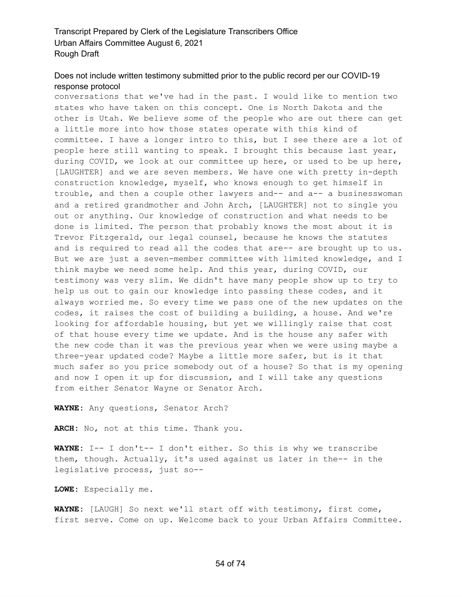# Does not include written testimony submitted prior to the public record per our COVID-19 response protocol

conversations that we've had in the past. I would like to mention two states who have taken on this concept. One is North Dakota and the other is Utah. We believe some of the people who are out there can get a little more into how those states operate with this kind of committee. I have a longer intro to this, but I see there are a lot of people here still wanting to speak. I brought this because last year, during COVID, we look at our committee up here, or used to be up here, [LAUGHTER] and we are seven members. We have one with pretty in-depth construction knowledge, myself, who knows enough to get himself in trouble, and then a couple other lawyers and-- and a-- a businesswoman and a retired grandmother and John Arch, [LAUGHTER] not to single you out or anything. Our knowledge of construction and what needs to be done is limited. The person that probably knows the most about it is Trevor Fitzgerald, our legal counsel, because he knows the statutes and is required to read all the codes that are-- are brought up to us. But we are just a seven-member committee with limited knowledge, and I think maybe we need some help. And this year, during COVID, our testimony was very slim. We didn't have many people show up to try to help us out to gain our knowledge into passing these codes, and it always worried me. So every time we pass one of the new updates on the codes, it raises the cost of building a building, a house. And we're looking for affordable housing, but yet we willingly raise that cost of that house every time we update. And is the house any safer with the new code than it was the previous year when we were using maybe a three-year updated code? Maybe a little more safer, but is it that much safer so you price somebody out of a house? So that is my opening and now I open it up for discussion, and I will take any questions from either Senator Wayne or Senator Arch.

**WAYNE:** Any questions, Senator Arch?

**ARCH:** No, not at this time. Thank you.

**WAYNE:** I-- I don't-- I don't either. So this is why we transcribe them, though. Actually, it's used against us later in the-- in the legislative process, just so--

**LOWE:** Especially me.

**WAYNE:** [LAUGH] So next we'll start off with testimony, first come, first serve. Come on up. Welcome back to your Urban Affairs Committee.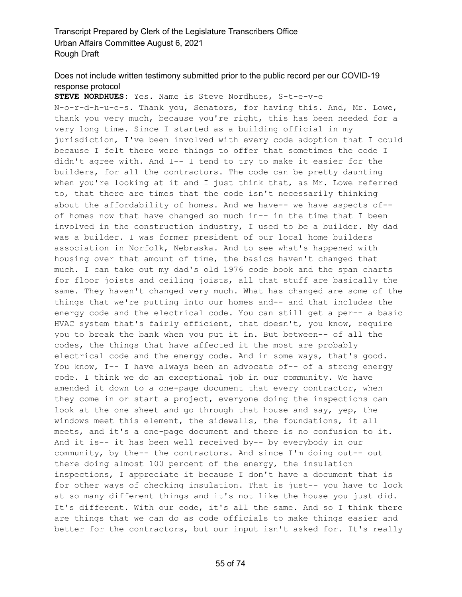# Does not include written testimony submitted prior to the public record per our COVID-19 response protocol

**STEVE NORDHUES:** Yes. Name is Steve Nordhues, S-t-e-v-e N-o-r-d-h-u-e-s. Thank you, Senators, for having this. And, Mr. Lowe, thank you very much, because you're right, this has been needed for a very long time. Since I started as a building official in my jurisdiction, I've been involved with every code adoption that I could because I felt there were things to offer that sometimes the code I didn't agree with. And I-- I tend to try to make it easier for the builders, for all the contractors. The code can be pretty daunting when you're looking at it and I just think that, as Mr. Lowe referred to, that there are times that the code isn't necessarily thinking about the affordability of homes. And we have-- we have aspects of- of homes now that have changed so much in-- in the time that I been involved in the construction industry, I used to be a builder. My dad was a builder. I was former president of our local home builders association in Norfolk, Nebraska. And to see what's happened with housing over that amount of time, the basics haven't changed that much. I can take out my dad's old 1976 code book and the span charts for floor joists and ceiling joists, all that stuff are basically the same. They haven't changed very much. What has changed are some of the things that we're putting into our homes and-- and that includes the energy code and the electrical code. You can still get a per-- a basic HVAC system that's fairly efficient, that doesn't, you know, require you to break the bank when you put it in. But between-- of all the codes, the things that have affected it the most are probably electrical code and the energy code. And in some ways, that's good. You know, I-- I have always been an advocate of-- of a strong energy code. I think we do an exceptional job in our community. We have amended it down to a one-page document that every contractor, when they come in or start a project, everyone doing the inspections can look at the one sheet and go through that house and say, yep, the windows meet this element, the sidewalls, the foundations, it all meets, and it's a one-page document and there is no confusion to it. And it is-- it has been well received by-- by everybody in our community, by the-- the contractors. And since I'm doing out-- out there doing almost 100 percent of the energy, the insulation inspections, I appreciate it because I don't have a document that is for other ways of checking insulation. That is just-- you have to look at so many different things and it's not like the house you just did. It's different. With our code, it's all the same. And so I think there are things that we can do as code officials to make things easier and better for the contractors, but our input isn't asked for. It's really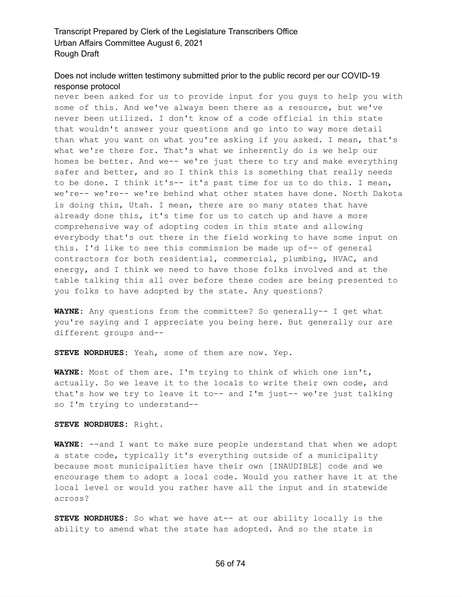#### Does not include written testimony submitted prior to the public record per our COVID-19 response protocol

never been asked for us to provide input for you guys to help you with some of this. And we've always been there as a resource, but we've never been utilized. I don't know of a code official in this state that wouldn't answer your questions and go into to way more detail than what you want on what you're asking if you asked. I mean, that's what we're there for. That's what we inherently do is we help our homes be better. And we-- we're just there to try and make everything safer and better, and so I think this is something that really needs to be done. I think it's-- it's past time for us to do this. I mean, we're-- we're-- we're behind what other states have done. North Dakota is doing this, Utah. I mean, there are so many states that have already done this, it's time for us to catch up and have a more comprehensive way of adopting codes in this state and allowing everybody that's out there in the field working to have some input on this. I'd like to see this commission be made up of-- of general contractors for both residential, commercial, plumbing, HVAC, and energy, and I think we need to have those folks involved and at the table talking this all over before these codes are being presented to you folks to have adopted by the state. Any questions?

**WAYNE:** Any questions from the committee? So generally-- I get what you're saying and I appreciate you being here. But generally our are different groups and--

**STEVE NORDHUES:** Yeah, some of them are now. Yep.

**WAYNE:** Most of them are. I'm trying to think of which one isn't, actually. So we leave it to the locals to write their own code, and that's how we try to leave it to-- and I'm just-- we're just talking so I'm trying to understand--

#### **STEVE NORDHUES:** Right.

**WAYNE:** --and I want to make sure people understand that when we adopt a state code, typically it's everything outside of a municipality because most municipalities have their own [INAUDIBLE] code and we encourage them to adopt a local code. Would you rather have it at the local level or would you rather have all the input and in statewide across?

**STEVE NORDHUES:** So what we have at-- at our ability locally is the ability to amend what the state has adopted. And so the state is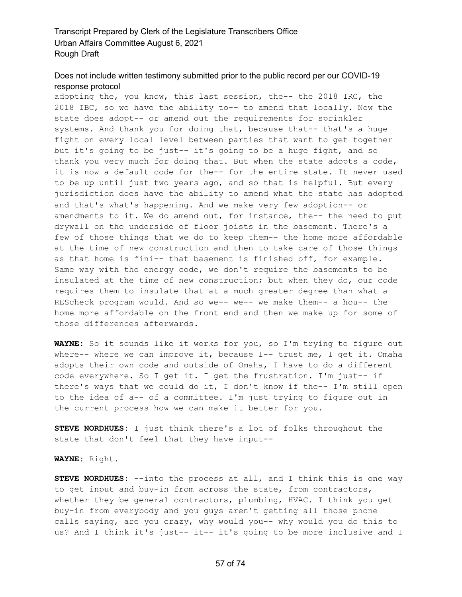# Does not include written testimony submitted prior to the public record per our COVID-19 response protocol

adopting the, you know, this last session, the-- the 2018 IRC, the 2018 IBC, so we have the ability to-- to amend that locally. Now the state does adopt-- or amend out the requirements for sprinkler systems. And thank you for doing that, because that-- that's a huge fight on every local level between parties that want to get together but it's going to be just-- it's going to be a huge fight, and so thank you very much for doing that. But when the state adopts a code, it is now a default code for the-- for the entire state. It never used to be up until just two years ago, and so that is helpful. But every jurisdiction does have the ability to amend what the state has adopted and that's what's happening. And we make very few adoption-- or amendments to it. We do amend out, for instance, the-- the need to put drywall on the underside of floor joists in the basement. There's a few of those things that we do to keep them-- the home more affordable at the time of new construction and then to take care of those things as that home is fini-- that basement is finished off, for example. Same way with the energy code, we don't require the basements to be insulated at the time of new construction; but when they do, our code requires them to insulate that at a much greater degree than what a REScheck program would. And so we-- we-- we make them-- a hou-- the home more affordable on the front end and then we make up for some of those differences afterwards.

**WAYNE:** So it sounds like it works for you, so I'm trying to figure out where-- where we can improve it, because I-- trust me, I get it. Omaha adopts their own code and outside of Omaha, I have to do a different code everywhere. So I get it. I get the frustration. I'm just-- if there's ways that we could do it, I don't know if the-- I'm still open to the idea of a-- of a committee. I'm just trying to figure out in the current process how we can make it better for you.

**STEVE NORDHUES:** I just think there's a lot of folks throughout the state that don't feel that they have input--

#### **WAYNE:** Right.

**STEVE NORDHUES:** --into the process at all, and I think this is one way to get input and buy-in from across the state, from contractors, whether they be general contractors, plumbing, HVAC. I think you get buy-in from everybody and you guys aren't getting all those phone calls saying, are you crazy, why would you-- why would you do this to us? And I think it's just-- it-- it's going to be more inclusive and I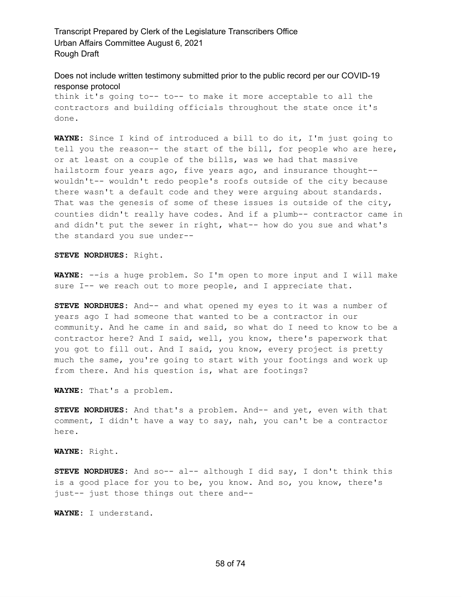Does not include written testimony submitted prior to the public record per our COVID-19 response protocol

think it's going to-- to-- to make it more acceptable to all the contractors and building officials throughout the state once it's done.

**WAYNE:** Since I kind of introduced a bill to do it, I'm just going to tell you the reason-- the start of the bill, for people who are here, or at least on a couple of the bills, was we had that massive hailstorm four years ago, five years ago, and insurance thought- wouldn't-- wouldn't redo people's roofs outside of the city because there wasn't a default code and they were arguing about standards. That was the genesis of some of these issues is outside of the city, counties didn't really have codes. And if a plumb-- contractor came in and didn't put the sewer in right, what-- how do you sue and what's the standard you sue under--

**STEVE NORDHUES:** Right.

**WAYNE:** --is a huge problem. So I'm open to more input and I will make sure I-- we reach out to more people, and I appreciate that.

**STEVE NORDHUES:** And-- and what opened my eyes to it was a number of years ago I had someone that wanted to be a contractor in our community. And he came in and said, so what do I need to know to be a contractor here? And I said, well, you know, there's paperwork that you got to fill out. And I said, you know, every project is pretty much the same, you're going to start with your footings and work up from there. And his question is, what are footings?

**WAYNE:** That's a problem.

**STEVE NORDHUES:** And that's a problem. And-- and yet, even with that comment, I didn't have a way to say, nah, you can't be a contractor here.

**WAYNE:** Right.

**STEVE NORDHUES:** And so-- al-- although I did say, I don't think this is a good place for you to be, you know. And so, you know, there's just-- just those things out there and--

**WAYNE:** I understand.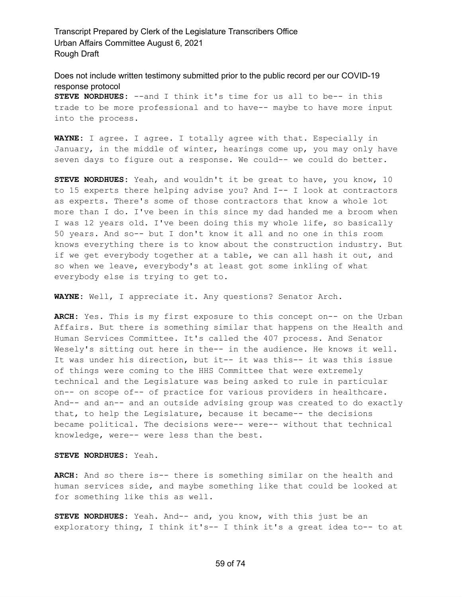Does not include written testimony submitted prior to the public record per our COVID-19 response protocol **STEVE NORDHUES:** --and I think it's time for us all to be-- in this trade to be more professional and to have-- maybe to have more input into the process.

**WAYNE:** I agree. I agree. I totally agree with that. Especially in January, in the middle of winter, hearings come up, you may only have seven days to figure out a response. We could-- we could do better.

**STEVE NORDHUES:** Yeah, and wouldn't it be great to have, you know, 10 to 15 experts there helping advise you? And I-- I look at contractors as experts. There's some of those contractors that know a whole lot more than I do. I've been in this since my dad handed me a broom when I was 12 years old. I've been doing this my whole life, so basically 50 years. And so-- but I don't know it all and no one in this room knows everything there is to know about the construction industry. But if we get everybody together at a table, we can all hash it out, and so when we leave, everybody's at least got some inkling of what everybody else is trying to get to.

**WAYNE:** Well, I appreciate it. Any questions? Senator Arch.

**ARCH:** Yes. This is my first exposure to this concept on-- on the Urban Affairs. But there is something similar that happens on the Health and Human Services Committee. It's called the 407 process. And Senator Wesely's sitting out here in the-- in the audience. He knows it well. It was under his direction, but it-- it was this-- it was this issue of things were coming to the HHS Committee that were extremely technical and the Legislature was being asked to rule in particular on-- on scope of-- of practice for various providers in healthcare. And-- and an-- and an outside advising group was created to do exactly that, to help the Legislature, because it became-- the decisions became political. The decisions were-- were-- without that technical knowledge, were-- were less than the best.

#### **STEVE NORDHUES:** Yeah.

**ARCH:** And so there is-- there is something similar on the health and human services side, and maybe something like that could be looked at for something like this as well.

**STEVE NORDHUES:** Yeah. And-- and, you know, with this just be an exploratory thing, I think it's-- I think it's a great idea to-- to at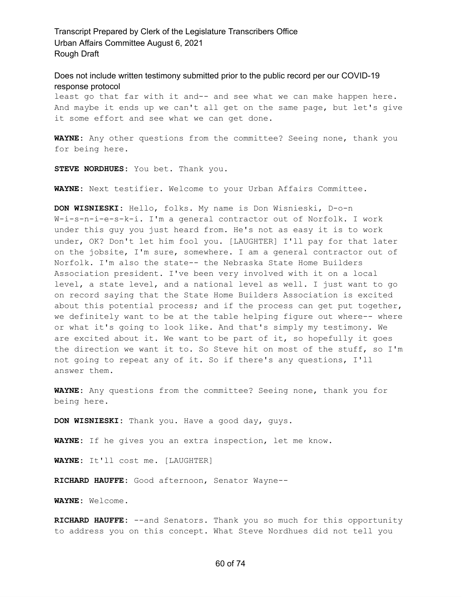Does not include written testimony submitted prior to the public record per our COVID-19 response protocol

least go that far with it and-- and see what we can make happen here. And maybe it ends up we can't all get on the same page, but let's give it some effort and see what we can get done.

**WAYNE:** Any other questions from the committee? Seeing none, thank you for being here.

**STEVE NORDHUES:** You bet. Thank you.

**WAYNE:** Next testifier. Welcome to your Urban Affairs Committee.

**DON WISNIESKI:** Hello, folks. My name is Don Wisnieski, D-o-n W-i-s-n-i-e-s-k-i. I'm a general contractor out of Norfolk. I work under this guy you just heard from. He's not as easy it is to work under, OK? Don't let him fool you. [LAUGHTER] I'll pay for that later on the jobsite, I'm sure, somewhere. I am a general contractor out of Norfolk. I'm also the state-- the Nebraska State Home Builders Association president. I've been very involved with it on a local level, a state level, and a national level as well. I just want to go on record saying that the State Home Builders Association is excited about this potential process; and if the process can get put together, we definitely want to be at the table helping figure out where-- where or what it's going to look like. And that's simply my testimony. We are excited about it. We want to be part of it, so hopefully it goes the direction we want it to. So Steve hit on most of the stuff, so I'm not going to repeat any of it. So if there's any questions, I'll answer them.

**WAYNE:** Any questions from the committee? Seeing none, thank you for being here.

**DON WISNIESKI:** Thank you. Have a good day, guys.

**WAYNE:** If he gives you an extra inspection, let me know.

**WAYNE:** It'll cost me. [LAUGHTER]

**RICHARD HAUFFE:** Good afternoon, Senator Wayne--

**WAYNE:** Welcome.

**RICHARD HAUFFE:** --and Senators. Thank you so much for this opportunity to address you on this concept. What Steve Nordhues did not tell you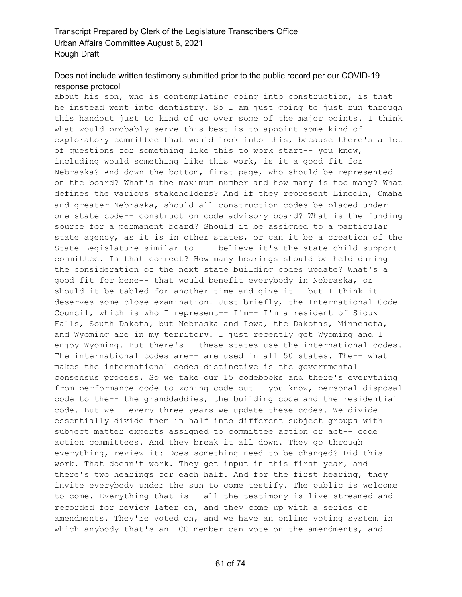# Does not include written testimony submitted prior to the public record per our COVID-19 response protocol

about his son, who is contemplating going into construction, is that he instead went into dentistry. So I am just going to just run through this handout just to kind of go over some of the major points. I think what would probably serve this best is to appoint some kind of exploratory committee that would look into this, because there's a lot of questions for something like this to work start-- you know, including would something like this work, is it a good fit for Nebraska? And down the bottom, first page, who should be represented on the board? What's the maximum number and how many is too many? What defines the various stakeholders? And if they represent Lincoln, Omaha and greater Nebraska, should all construction codes be placed under one state code-- construction code advisory board? What is the funding source for a permanent board? Should it be assigned to a particular state agency, as it is in other states, or can it be a creation of the State Legislature similar to-- I believe it's the state child support committee. Is that correct? How many hearings should be held during the consideration of the next state building codes update? What's a good fit for bene-- that would benefit everybody in Nebraska, or should it be tabled for another time and give it-- but I think it deserves some close examination. Just briefly, the International Code Council, which is who I represent-- I'm-- I'm a resident of Sioux Falls, South Dakota, but Nebraska and Iowa, the Dakotas, Minnesota, and Wyoming are in my territory. I just recently got Wyoming and I enjoy Wyoming. But there's-- these states use the international codes. The international codes are-- are used in all 50 states. The-- what makes the international codes distinctive is the governmental consensus process. So we take our 15 codebooks and there's everything from performance code to zoning code out-- you know, personal disposal code to the-- the granddaddies, the building code and the residential code. But we-- every three years we update these codes. We divide- essentially divide them in half into different subject groups with subject matter experts assigned to committee action or act-- code action committees. And they break it all down. They go through everything, review it: Does something need to be changed? Did this work. That doesn't work. They get input in this first year, and there's two hearings for each half. And for the first hearing, they invite everybody under the sun to come testify. The public is welcome to come. Everything that is-- all the testimony is live streamed and recorded for review later on, and they come up with a series of amendments. They're voted on, and we have an online voting system in which anybody that's an ICC member can vote on the amendments, and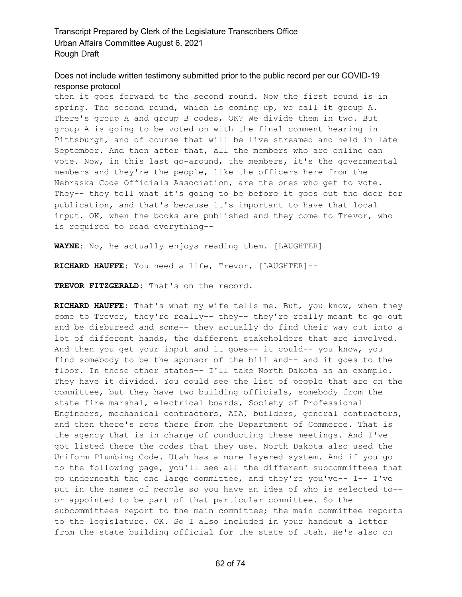#### Does not include written testimony submitted prior to the public record per our COVID-19 response protocol

then it goes forward to the second round. Now the first round is in spring. The second round, which is coming up, we call it group A. There's group A and group B codes, OK? We divide them in two. But group A is going to be voted on with the final comment hearing in Pittsburgh, and of course that will be live streamed and held in late September. And then after that, all the members who are online can vote. Now, in this last go-around, the members, it's the governmental members and they're the people, like the officers here from the Nebraska Code Officials Association, are the ones who get to vote. They-- they tell what it's going to be before it goes out the door for publication, and that's because it's important to have that local input. OK, when the books are published and they come to Trevor, who is required to read everything--

**WAYNE:** No, he actually enjoys reading them. [LAUGHTER]

**RICHARD HAUFFE:** You need a life, Trevor, [LAUGHTER]--

**TREVOR FITZGERALD:** That's on the record.

**RICHARD HAUFFE:** That's what my wife tells me. But, you know, when they come to Trevor, they're really-- they-- they're really meant to go out and be disbursed and some-- they actually do find their way out into a lot of different hands, the different stakeholders that are involved. And then you get your input and it goes-- it could-- you know, you find somebody to be the sponsor of the bill and-- and it goes to the floor. In these other states-- I'll take North Dakota as an example. They have it divided. You could see the list of people that are on the committee, but they have two building officials, somebody from the state fire marshal, electrical boards, Society of Professional Engineers, mechanical contractors, AIA, builders, general contractors, and then there's reps there from the Department of Commerce. That is the agency that is in charge of conducting these meetings. And I've got listed there the codes that they use. North Dakota also used the Uniform Plumbing Code. Utah has a more layered system. And if you go to the following page, you'll see all the different subcommittees that go underneath the one large committee, and they're you've-- I-- I've put in the names of people so you have an idea of who is selected to- or appointed to be part of that particular committee. So the subcommittees report to the main committee; the main committee reports to the legislature. OK. So I also included in your handout a letter from the state building official for the state of Utah. He's also on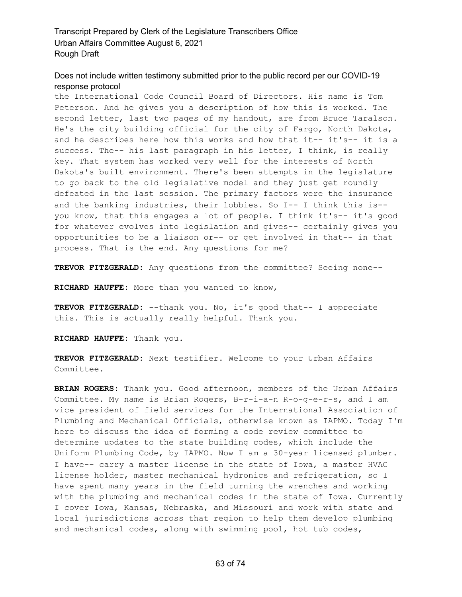#### Does not include written testimony submitted prior to the public record per our COVID-19 response protocol

the International Code Council Board of Directors. His name is Tom Peterson. And he gives you a description of how this is worked. The second letter, last two pages of my handout, are from Bruce Taralson. He's the city building official for the city of Fargo, North Dakota, and he describes here how this works and how that it-- it's-- it is a success. The-- his last paragraph in his letter, I think, is really key. That system has worked very well for the interests of North Dakota's built environment. There's been attempts in the legislature to go back to the old legislative model and they just get roundly defeated in the last session. The primary factors were the insurance and the banking industries, their lobbies. So I-- I think this is- you know, that this engages a lot of people. I think it's-- it's good for whatever evolves into legislation and gives-- certainly gives you opportunities to be a liaison or-- or get involved in that-- in that process. That is the end. Any questions for me?

**TREVOR FITZGERALD:** Any questions from the committee? Seeing none--

**RICHARD HAUFFE:** More than you wanted to know,

**TREVOR FITZGERALD:** --thank you. No, it's good that-- I appreciate this. This is actually really helpful. Thank you.

**RICHARD HAUFFE:** Thank you.

**TREVOR FITZGERALD:** Next testifier. Welcome to your Urban Affairs Committee.

**BRIAN ROGERS:** Thank you. Good afternoon, members of the Urban Affairs Committee. My name is Brian Rogers, B-r-i-a-n R-o-g-e-r-s, and I am vice president of field services for the International Association of Plumbing and Mechanical Officials, otherwise known as IAPMO. Today I'm here to discuss the idea of forming a code review committee to determine updates to the state building codes, which include the Uniform Plumbing Code, by IAPMO. Now I am a 30-year licensed plumber. I have-- carry a master license in the state of Iowa, a master HVAC license holder, master mechanical hydronics and refrigeration, so I have spent many years in the field turning the wrenches and working with the plumbing and mechanical codes in the state of Iowa. Currently I cover Iowa, Kansas, Nebraska, and Missouri and work with state and local jurisdictions across that region to help them develop plumbing and mechanical codes, along with swimming pool, hot tub codes,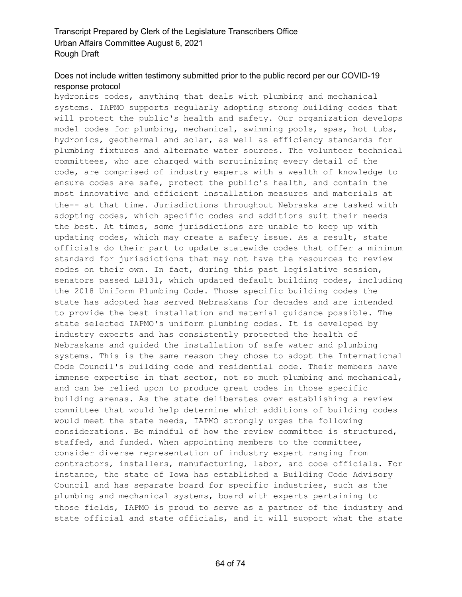# Does not include written testimony submitted prior to the public record per our COVID-19 response protocol

hydronics codes, anything that deals with plumbing and mechanical systems. IAPMO supports regularly adopting strong building codes that will protect the public's health and safety. Our organization develops model codes for plumbing, mechanical, swimming pools, spas, hot tubs, hydronics, geothermal and solar, as well as efficiency standards for plumbing fixtures and alternate water sources. The volunteer technical committees, who are charged with scrutinizing every detail of the code, are comprised of industry experts with a wealth of knowledge to ensure codes are safe, protect the public's health, and contain the most innovative and efficient installation measures and materials at the-- at that time. Jurisdictions throughout Nebraska are tasked with adopting codes, which specific codes and additions suit their needs the best. At times, some jurisdictions are unable to keep up with updating codes, which may create a safety issue. As a result, state officials do their part to update statewide codes that offer a minimum standard for jurisdictions that may not have the resources to review codes on their own. In fact, during this past legislative session, senators passed LB131, which updated default building codes, including the 2018 Uniform Plumbing Code. Those specific building codes the state has adopted has served Nebraskans for decades and are intended to provide the best installation and material guidance possible. The state selected IAPMO's uniform plumbing codes. It is developed by industry experts and has consistently protected the health of Nebraskans and guided the installation of safe water and plumbing systems. This is the same reason they chose to adopt the International Code Council's building code and residential code. Their members have immense expertise in that sector, not so much plumbing and mechanical, and can be relied upon to produce great codes in those specific building arenas. As the state deliberates over establishing a review committee that would help determine which additions of building codes would meet the state needs, IAPMO strongly urges the following considerations. Be mindful of how the review committee is structured, staffed, and funded. When appointing members to the committee, consider diverse representation of industry expert ranging from contractors, installers, manufacturing, labor, and code officials. For instance, the state of Iowa has established a Building Code Advisory Council and has separate board for specific industries, such as the plumbing and mechanical systems, board with experts pertaining to those fields, IAPMO is proud to serve as a partner of the industry and state official and state officials, and it will support what the state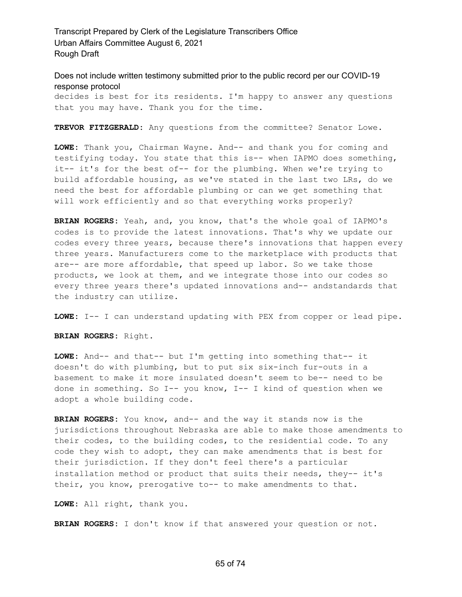Does not include written testimony submitted prior to the public record per our COVID-19 response protocol

decides is best for its residents. I'm happy to answer any questions that you may have. Thank you for the time.

**TREVOR FITZGERALD:** Any questions from the committee? Senator Lowe.

**LOWE:** Thank you, Chairman Wayne. And-- and thank you for coming and testifying today. You state that this is-- when IAPMO does something, it-- it's for the best of-- for the plumbing. When we're trying to build affordable housing, as we've stated in the last two LRs, do we need the best for affordable plumbing or can we get something that will work efficiently and so that everything works properly?

**BRIAN ROGERS:** Yeah, and, you know, that's the whole goal of IAPMO's codes is to provide the latest innovations. That's why we update our codes every three years, because there's innovations that happen every three years. Manufacturers come to the marketplace with products that are-- are more affordable, that speed up labor. So we take those products, we look at them, and we integrate those into our codes so every three years there's updated innovations and-- andstandards that the industry can utilize.

**LOWE:** I-- I can understand updating with PEX from copper or lead pipe.

**BRIAN ROGERS:** Right.

**LOWE:** And-- and that-- but I'm getting into something that-- it doesn't do with plumbing, but to put six six-inch fur-outs in a basement to make it more insulated doesn't seem to be-- need to be done in something. So I-- you know, I-- I kind of question when we adopt a whole building code.

**BRIAN ROGERS:** You know, and-- and the way it stands now is the jurisdictions throughout Nebraska are able to make those amendments to their codes, to the building codes, to the residential code. To any code they wish to adopt, they can make amendments that is best for their jurisdiction. If they don't feel there's a particular installation method or product that suits their needs, they-- it's their, you know, prerogative to-- to make amendments to that.

**LOWE:** All right, thank you.

**BRIAN ROGERS:** I don't know if that answered your question or not.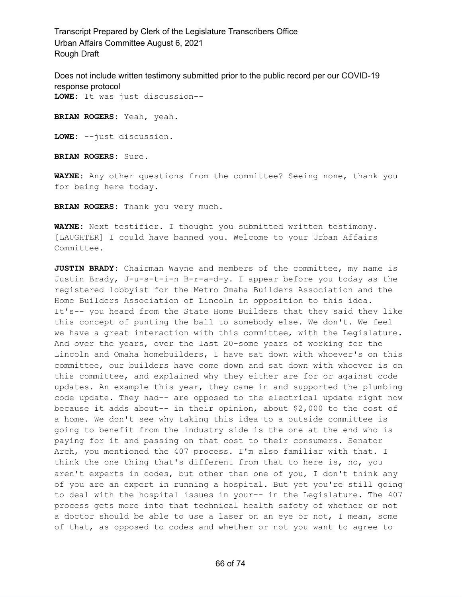Does not include written testimony submitted prior to the public record per our COVID-19 response protocol **LOWE:** It was just discussion--

**BRIAN ROGERS:** Yeah, yeah.

**LOWE:** --just discussion.

**BRIAN ROGERS:** Sure.

**WAYNE:** Any other questions from the committee? Seeing none, thank you for being here today.

**BRIAN ROGERS:** Thank you very much.

**WAYNE:** Next testifier. I thought you submitted written testimony. [LAUGHTER] I could have banned you. Welcome to your Urban Affairs Committee.

**JUSTIN BRADY:** Chairman Wayne and members of the committee, my name is Justin Brady, J-u-s-t-i-n B-r-a-d-y. I appear before you today as the registered lobbyist for the Metro Omaha Builders Association and the Home Builders Association of Lincoln in opposition to this idea. It's-- you heard from the State Home Builders that they said they like this concept of punting the ball to somebody else. We don't. We feel we have a great interaction with this committee, with the Legislature. And over the years, over the last 20-some years of working for the Lincoln and Omaha homebuilders, I have sat down with whoever's on this committee, our builders have come down and sat down with whoever is on this committee, and explained why they either are for or against code updates. An example this year, they came in and supported the plumbing code update. They had-- are opposed to the electrical update right now because it adds about-- in their opinion, about \$2,000 to the cost of a home. We don't see why taking this idea to a outside committee is going to benefit from the industry side is the one at the end who is paying for it and passing on that cost to their consumers. Senator Arch, you mentioned the 407 process. I'm also familiar with that. I think the one thing that's different from that to here is, no, you aren't experts in codes, but other than one of you, I don't think any of you are an expert in running a hospital. But yet you're still going to deal with the hospital issues in your-- in the Legislature. The 407 process gets more into that technical health safety of whether or not a doctor should be able to use a laser on an eye or not, I mean, some of that, as opposed to codes and whether or not you want to agree to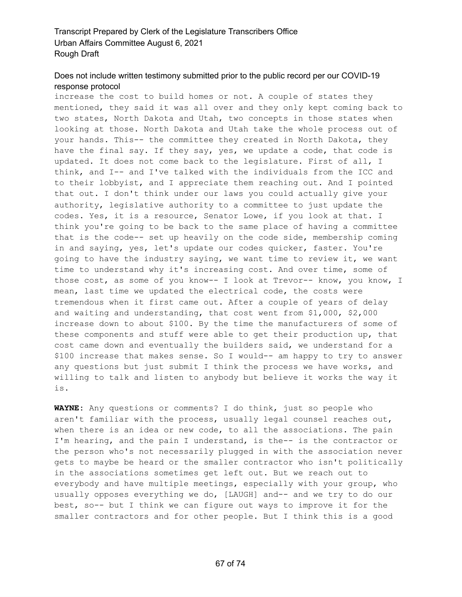# Does not include written testimony submitted prior to the public record per our COVID-19 response protocol

increase the cost to build homes or not. A couple of states they mentioned, they said it was all over and they only kept coming back to two states, North Dakota and Utah, two concepts in those states when looking at those. North Dakota and Utah take the whole process out of your hands. This-- the committee they created in North Dakota, they have the final say. If they say, yes, we update a code, that code is updated. It does not come back to the legislature. First of all, I think, and I-- and I've talked with the individuals from the ICC and to their lobbyist, and I appreciate them reaching out. And I pointed that out. I don't think under our laws you could actually give your authority, legislative authority to a committee to just update the codes. Yes, it is a resource, Senator Lowe, if you look at that. I think you're going to be back to the same place of having a committee that is the code-- set up heavily on the code side, membership coming in and saying, yes, let's update our codes quicker, faster. You're going to have the industry saying, we want time to review it, we want time to understand why it's increasing cost. And over time, some of those cost, as some of you know-- I look at Trevor-- know, you know, I mean, last time we updated the electrical code, the costs were tremendous when it first came out. After a couple of years of delay and waiting and understanding, that cost went from \$1,000, \$2,000 increase down to about \$100. By the time the manufacturers of some of these components and stuff were able to get their production up, that cost came down and eventually the builders said, we understand for a \$100 increase that makes sense. So I would-- am happy to try to answer any questions but just submit I think the process we have works, and willing to talk and listen to anybody but believe it works the way it is.

**WAYNE:** Any questions or comments? I do think, just so people who aren't familiar with the process, usually legal counsel reaches out, when there is an idea or new code, to all the associations. The pain I'm hearing, and the pain I understand, is the-- is the contractor or the person who's not necessarily plugged in with the association never gets to maybe be heard or the smaller contractor who isn't politically in the associations sometimes get left out. But we reach out to everybody and have multiple meetings, especially with your group, who usually opposes everything we do, [LAUGH] and-- and we try to do our best, so-- but I think we can figure out ways to improve it for the smaller contractors and for other people. But I think this is a good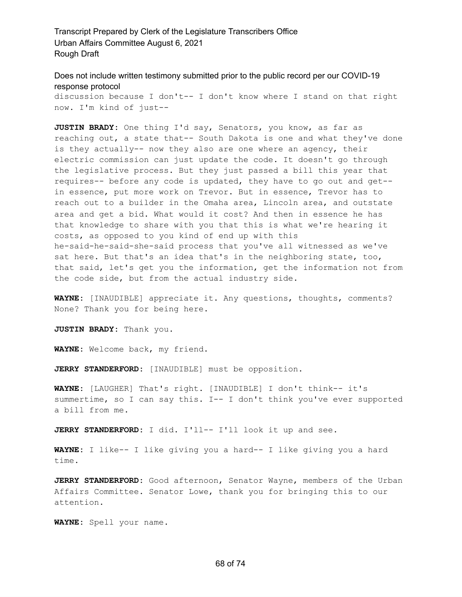Does not include written testimony submitted prior to the public record per our COVID-19 response protocol

discussion because I don't-- I don't know where I stand on that right now. I'm kind of just--

**JUSTIN BRADY:** One thing I'd say, Senators, you know, as far as reaching out, a state that-- South Dakota is one and what they've done is they actually-- now they also are one where an agency, their electric commission can just update the code. It doesn't go through the legislative process. But they just passed a bill this year that requires-- before any code is updated, they have to go out and get- in essence, put more work on Trevor. But in essence, Trevor has to reach out to a builder in the Omaha area, Lincoln area, and outstate area and get a bid. What would it cost? And then in essence he has that knowledge to share with you that this is what we're hearing it costs, as opposed to you kind of end up with this he-said-he-said-she-said process that you've all witnessed as we've sat here. But that's an idea that's in the neighboring state, too, that said, let's get you the information, get the information not from the code side, but from the actual industry side.

**WAYNE:** [INAUDIBLE] appreciate it. Any questions, thoughts, comments? None? Thank you for being here.

**JUSTIN BRADY:** Thank you.

**WAYNE:** Welcome back, my friend.

**JERRY STANDERFORD:** [INAUDIBLE] must be opposition.

**WAYNE:** [LAUGHER] That's right. [INAUDIBLE] I don't think-- it's summertime, so I can say this. I-- I don't think you've ever supported a bill from me.

**JERRY STANDERFORD:** I did. I'll-- I'll look it up and see.

**WAYNE:** I like-- I like giving you a hard-- I like giving you a hard time.

**JERRY STANDERFORD:** Good afternoon, Senator Wayne, members of the Urban Affairs Committee. Senator Lowe, thank you for bringing this to our attention.

**WAYNE:** Spell your name.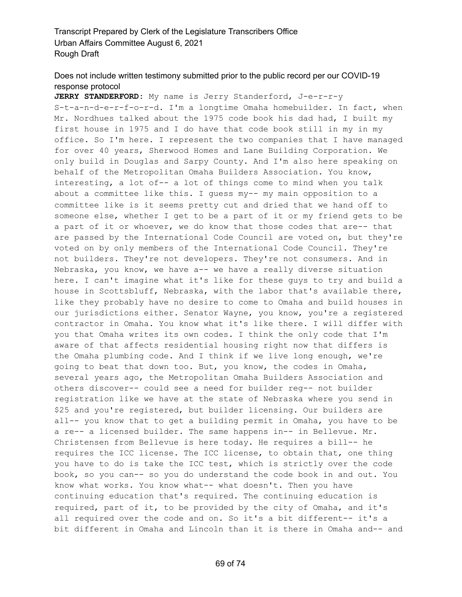# Does not include written testimony submitted prior to the public record per our COVID-19 response protocol

**JERRY STANDERFORD:** My name is Jerry Standerford, J-e-r-r-y S-t-a-n-d-e-r-f-o-r-d. I'm a longtime Omaha homebuilder. In fact, when Mr. Nordhues talked about the 1975 code book his dad had, I built my first house in 1975 and I do have that code book still in my in my office. So I'm here. I represent the two companies that I have managed for over 40 years, Sherwood Homes and Lane Building Corporation. We only build in Douglas and Sarpy County. And I'm also here speaking on behalf of the Metropolitan Omaha Builders Association. You know, interesting, a lot of-- a lot of things come to mind when you talk about a committee like this. I guess my-- my main opposition to a committee like is it seems pretty cut and dried that we hand off to someone else, whether I get to be a part of it or my friend gets to be a part of it or whoever, we do know that those codes that are-- that are passed by the International Code Council are voted on, but they're voted on by only members of the International Code Council. They're not builders. They're not developers. They're not consumers. And in Nebraska, you know, we have a-- we have a really diverse situation here. I can't imagine what it's like for these guys to try and build a house in Scottsbluff, Nebraska, with the labor that's available there, like they probably have no desire to come to Omaha and build houses in our jurisdictions either. Senator Wayne, you know, you're a registered contractor in Omaha. You know what it's like there. I will differ with you that Omaha writes its own codes. I think the only code that I'm aware of that affects residential housing right now that differs is the Omaha plumbing code. And I think if we live long enough, we're going to beat that down too. But, you know, the codes in Omaha, several years ago, the Metropolitan Omaha Builders Association and others discover-- could see a need for builder reg-- not builder registration like we have at the state of Nebraska where you send in \$25 and you're registered, but builder licensing. Our builders are all-- you know that to get a building permit in Omaha, you have to be a re-- a licensed builder. The same happens in-- in Bellevue. Mr. Christensen from Bellevue is here today. He requires a bill-- he requires the ICC license. The ICC license, to obtain that, one thing you have to do is take the ICC test, which is strictly over the code book, so you can-- so you do understand the code book in and out. You know what works. You know what-- what doesn't. Then you have continuing education that's required. The continuing education is required, part of it, to be provided by the city of Omaha, and it's all required over the code and on. So it's a bit different-- it's a bit different in Omaha and Lincoln than it is there in Omaha and-- and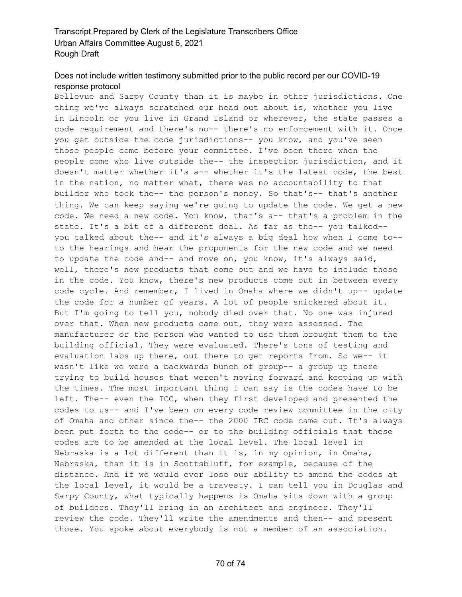# Does not include written testimony submitted prior to the public record per our COVID-19 response protocol

Bellevue and Sarpy County than it is maybe in other jurisdictions. One thing we've always scratched our head out about is, whether you live in Lincoln or you live in Grand Island or wherever, the state passes a code requirement and there's no-- there's no enforcement with it. Once you get outside the code jurisdictions-- you know, and you've seen those people come before your committee. I've been there when the people come who live outside the-- the inspection jurisdiction, and it doesn't matter whether it's a-- whether it's the latest code, the best in the nation, no matter what, there was no accountability to that builder who took the-- the person's money. So that's-- that's another thing. We can keep saying we're going to update the code. We get a new code. We need a new code. You know, that's a-- that's a problem in the state. It's a bit of a different deal. As far as the-- you talked- you talked about the-- and it's always a big deal how when I come to- to the hearings and hear the proponents for the new code and we need to update the code and-- and move on, you know, it's always said, well, there's new products that come out and we have to include those in the code. You know, there's new products come out in between every code cycle. And remember, I lived in Omaha where we didn't up-- update the code for a number of years. A lot of people snickered about it. But I'm going to tell you, nobody died over that. No one was injured over that. When new products came out, they were assessed. The manufacturer or the person who wanted to use them brought them to the building official. They were evaluated. There's tons of testing and evaluation labs up there, out there to get reports from. So we-- it wasn't like we were a backwards bunch of group-- a group up there trying to build houses that weren't moving forward and keeping up with the times. The most important thing I can say is the codes have to be left. The-- even the ICC, when they first developed and presented the codes to us-- and I've been on every code review committee in the city of Omaha and other since the-- the 2000 IRC code came out. It's always been put forth to the code-- or to the building officials that these codes are to be amended at the local level. The local level in Nebraska is a lot different than it is, in my opinion, in Omaha, Nebraska, than it is in Scottsbluff, for example, because of the distance. And if we would ever lose our ability to amend the codes at the local level, it would be a travesty. I can tell you in Douglas and Sarpy County, what typically happens is Omaha sits down with a group of builders. They'll bring in an architect and engineer. They'll review the code. They'll write the amendments and then-- and present those. You spoke about everybody is not a member of an association.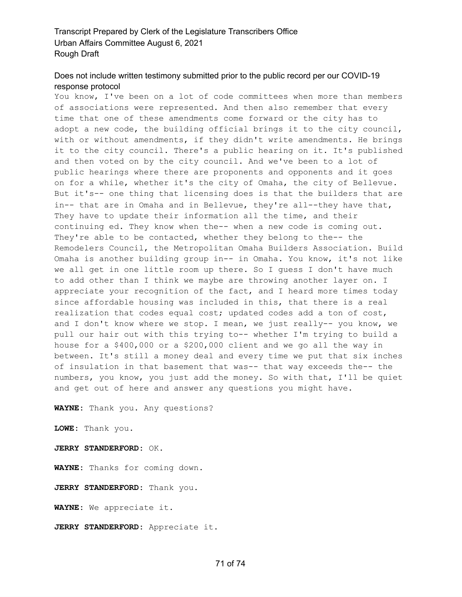# Does not include written testimony submitted prior to the public record per our COVID-19 response protocol

You know, I've been on a lot of code committees when more than members of associations were represented. And then also remember that every time that one of these amendments come forward or the city has to adopt a new code, the building official brings it to the city council, with or without amendments, if they didn't write amendments. He brings it to the city council. There's a public hearing on it. It's published and then voted on by the city council. And we've been to a lot of public hearings where there are proponents and opponents and it goes on for a while, whether it's the city of Omaha, the city of Bellevue. But it's-- one thing that licensing does is that the builders that are in-- that are in Omaha and in Bellevue, they're all--they have that, They have to update their information all the time, and their continuing ed. They know when the-- when a new code is coming out. They're able to be contacted, whether they belong to the-- the Remodelers Council, the Metropolitan Omaha Builders Association. Build Omaha is another building group in-- in Omaha. You know, it's not like we all get in one little room up there. So I guess I don't have much to add other than I think we maybe are throwing another layer on. I appreciate your recognition of the fact, and I heard more times today since affordable housing was included in this, that there is a real realization that codes equal cost; updated codes add a ton of cost, and I don't know where we stop. I mean, we just really-- you know, we pull our hair out with this trying to-- whether I'm trying to build a house for a \$400,000 or a \$200,000 client and we go all the way in between. It's still a money deal and every time we put that six inches of insulation in that basement that was-- that way exceeds the-- the numbers, you know, you just add the money. So with that, I'll be quiet and get out of here and answer any questions you might have.

**WAYNE:** Thank you. Any questions?

**LOWE:** Thank you.

**JERRY STANDERFORD:** OK.

**WAYNE:** Thanks for coming down.

**JERRY STANDERFORD:** Thank you.

**WAYNE:** We appreciate it.

**JERRY STANDERFORD:** Appreciate it.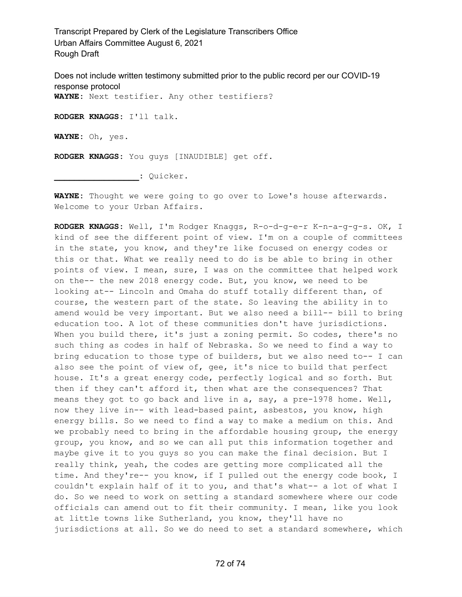Does not include written testimony submitted prior to the public record per our COVID-19 response protocol **WAYNE:** Next testifier. Any other testifiers? **RODGER KNAGGS:** I'll talk. **WAYNE:** Oh, yes. **RODGER KNAGGS:** You guys [INAUDIBLE] get off.

**\_\_\_\_\_\_\_\_\_\_\_\_\_\_\_\_\_:** Quicker.

**WAYNE:** Thought we were going to go over to Lowe's house afterwards. Welcome to your Urban Affairs.

**RODGER KNAGGS:** Well, I'm Rodger Knaggs, R-o-d-g-e-r K-n-a-g-g-s. OK, I kind of see the different point of view. I'm on a couple of committees in the state, you know, and they're like focused on energy codes or this or that. What we really need to do is be able to bring in other points of view. I mean, sure, I was on the committee that helped work on the-- the new 2018 energy code. But, you know, we need to be looking at-- Lincoln and Omaha do stuff totally different than, of course, the western part of the state. So leaving the ability in to amend would be very important. But we also need a bill-- bill to bring education too. A lot of these communities don't have jurisdictions. When you build there, it's just a zoning permit. So codes, there's no such thing as codes in half of Nebraska. So we need to find a way to bring education to those type of builders, but we also need to-- I can also see the point of view of, gee, it's nice to build that perfect house. It's a great energy code, perfectly logical and so forth. But then if they can't afford it, then what are the consequences? That means they got to go back and live in a, say, a pre-1978 home. Well, now they live in-- with lead-based paint, asbestos, you know, high energy bills. So we need to find a way to make a medium on this. And we probably need to bring in the affordable housing group, the energy group, you know, and so we can all put this information together and maybe give it to you guys so you can make the final decision. But I really think, yeah, the codes are getting more complicated all the time. And they're-- you know, if I pulled out the energy code book, I couldn't explain half of it to you, and that's what-- a lot of what I do. So we need to work on setting a standard somewhere where our code officials can amend out to fit their community. I mean, like you look at little towns like Sutherland, you know, they'll have no jurisdictions at all. So we do need to set a standard somewhere, which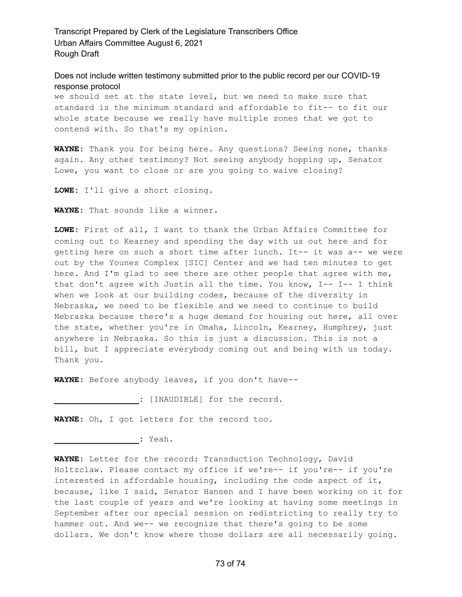Transcript Prepared by Clerk of the Legislature Transcribers Office Urban Affairs Committee August 6, 2021 Rough Draft

Does not include written testimony submitted prior to the public record per our COVID-19 response protocol

we should set at the state level, but we need to make sure that standard is the minimum standard and affordable to fit-- to fit our whole state because we really have multiple zones that we got to contend with. So that's my opinion.

**WAYNE:** Thank you for being here. Any questions? Seeing none, thanks again. Any other testimony? Not seeing anybody hopping up, Senator Lowe, you want to close or are you going to waive closing?

**LOWE:** I'll give a short closing.

**WAYNE:** That sounds like a winner.

**LOWE:** First of all, I want to thank the Urban Affairs Committee for coming out to Kearney and spending the day with us out here and for getting here on such a short time after lunch. It-- it was a-- we were out by the Younes Complex [SIC] Center and we had ten minutes to get here. And I'm glad to see there are other people that agree with me, that don't agree with Justin all the time. You know, I-- I-- I think when we look at our building codes, because of the diversity in Nebraska, we need to be flexible and we need to continue to build Nebraska because there's a huge demand for housing out here, all over the state, whether you're in Omaha, Lincoln, Kearney, Humphrey, just anywhere in Nebraska. So this is just a discussion. This is not a bill, but I appreciate everybody coming out and being with us today. Thank you.

**WAYNE:** Before anybody leaves, if you don't have--

**\_\_\_\_\_\_\_\_\_\_\_\_\_\_\_\_\_:** [INAUDIBLE] for the record.

**WAYNE:** Oh, I got letters for the record too.

**\_\_\_\_\_\_\_\_\_\_\_\_\_\_\_\_\_:** Yeah.

**WAYNE:** Letter for the record: Transduction Technology, David Holtzclaw. Please contact my office if we're-- if you're-- if you're interested in affordable housing, including the code aspect of it, because, like I said, Senator Hansen and I have been working on it for the last couple of years and we're looking at having some meetings in September after our special session on redistricting to really try to hammer out. And we-- we recognize that there's going to be some dollars. We don't know where those dollars are all necessarily going.